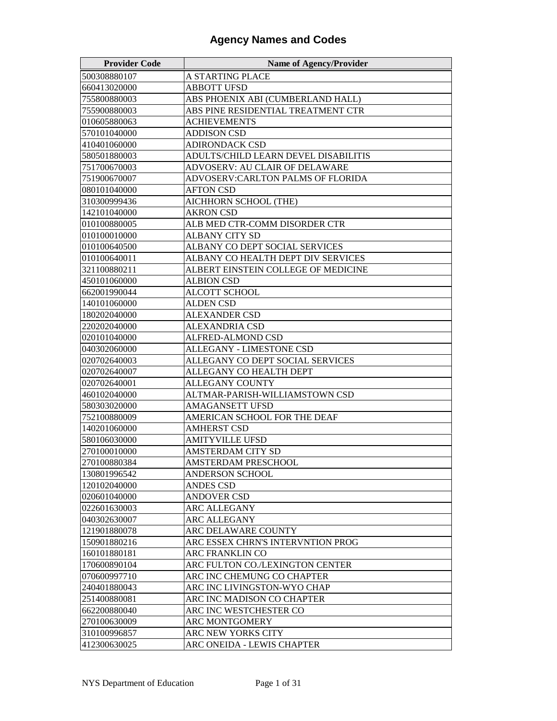| <b>Provider Code</b> | <b>Name of Agency/Provider</b>       |
|----------------------|--------------------------------------|
| 500308880107         | A STARTING PLACE                     |
| 660413020000         | <b>ABBOTT UFSD</b>                   |
| 755800880003         | ABS PHOENIX ABI (CUMBERLAND HALL)    |
| 755900880003         | ABS PINE RESIDENTIAL TREATMENT CTR   |
| 010605880063         | <b>ACHIEVEMENTS</b>                  |
| 570101040000         | <b>ADDISON CSD</b>                   |
| 410401060000         | <b>ADIRONDACK CSD</b>                |
| 580501880003         | ADULTS/CHILD LEARN DEVEL DISABILITIS |
| 751700670003         | ADVOSERV: AU CLAIR OF DELAWARE       |
| 751900670007         | ADVOSERV:CARLTON PALMS OF FLORIDA    |
| 080101040000         | <b>AFTON CSD</b>                     |
| 310300999436         | AICHHORN SCHOOL (THE)                |
| 142101040000         | <b>AKRON CSD</b>                     |
| 010100880005         | ALB MED CTR-COMM DISORDER CTR        |
| 010100010000         | <b>ALBANY CITY SD</b>                |
| 010100640500         | ALBANY CO DEPT SOCIAL SERVICES       |
| 010100640011         | ALBANY CO HEALTH DEPT DIV SERVICES   |
| 321100880211         | ALBERT EINSTEIN COLLEGE OF MEDICINE  |
| 450101060000         | <b>ALBION CSD</b>                    |
| 662001990044         | ALCOTT SCHOOL                        |
| 140101060000         | <b>ALDEN CSD</b>                     |
| 180202040000         | <b>ALEXANDER CSD</b>                 |
| 220202040000         | <b>ALEXANDRIA CSD</b>                |
| 020101040000         | ALFRED-ALMOND CSD                    |
| 040302060000         | ALLEGANY - LIMESTONE CSD             |
| 020702640003         | ALLEGANY CO DEPT SOCIAL SERVICES     |
| 020702640007         | ALLEGANY CO HEALTH DEPT              |
| 020702640001         | <b>ALLEGANY COUNTY</b>               |
| 460102040000         | ALTMAR-PARISH-WILLIAMSTOWN CSD       |
| 580303020000         | <b>AMAGANSETT UFSD</b>               |
| 752100880009         | AMERICAN SCHOOL FOR THE DEAF         |
| 140201060000         | <b>AMHERST CSD</b>                   |
| 580106030000         | AMITYVILLE UFSD                      |
| 270100010000         | AMSTERDAM CITY SD                    |
| 270100880384         | AMSTERDAM PRESCHOOL                  |
| 130801996542         | ANDERSON SCHOOL                      |
| 120102040000         | <b>ANDES CSD</b>                     |
| 020601040000         | <b>ANDOVER CSD</b>                   |
| 022601630003         | <b>ARC ALLEGANY</b>                  |
| 040302630007         | <b>ARC ALLEGANY</b>                  |
| 121901880078         | ARC DELAWARE COUNTY                  |
| 150901880216         | ARC ESSEX CHRN'S INTERVNTION PROG    |
| 160101880181         | ARC FRANKLIN CO                      |
| 170600890104         | ARC FULTON CO./LEXINGTON CENTER      |
| 070600997710         | ARC INC CHEMUNG CO CHAPTER           |
| 240401880043         | ARC INC LIVINGSTON-WYO CHAP          |
| 251400880081         | ARC INC MADISON CO CHAPTER           |
| 662200880040         | ARC INC WESTCHESTER CO               |
| 270100630009         | ARC MONTGOMERY                       |
| 310100996857         | ARC NEW YORKS CITY                   |
| 412300630025         | ARC ONEIDA - LEWIS CHAPTER           |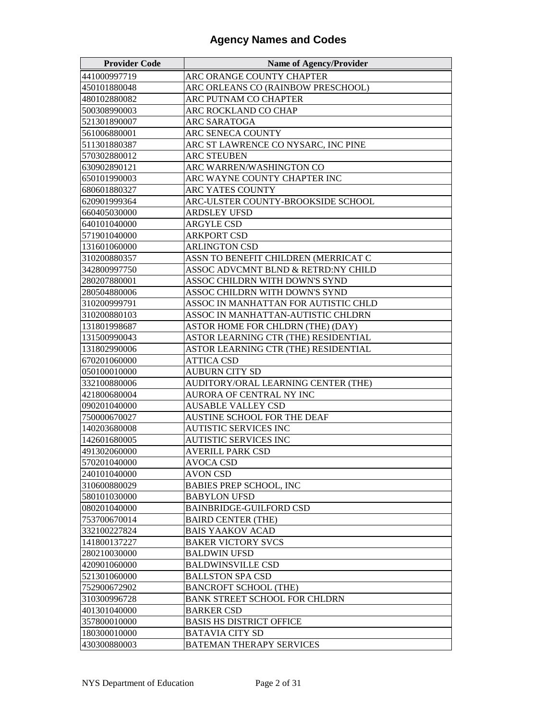| <b>Provider Code</b> | <b>Name of Agency/Provider</b>                            |
|----------------------|-----------------------------------------------------------|
| 441000997719         | ARC ORANGE COUNTY CHAPTER                                 |
| 450101880048         | ARC ORLEANS CO (RAINBOW PRESCHOOL)                        |
| 480102880082         | ARC PUTNAM CO CHAPTER                                     |
| 500308990003         | ARC ROCKLAND CO CHAP                                      |
| 521301890007         | ARC SARATOGA                                              |
| 561006880001         | ARC SENECA COUNTY                                         |
| 511301880387         | ARC ST LAWRENCE CO NYSARC, INC PINE                       |
| 570302880012         | <b>ARC STEUBEN</b>                                        |
| 630902890121         | ARC WARREN/WASHINGTON CO                                  |
| 650101990003         | ARC WAYNE COUNTY CHAPTER INC                              |
| 680601880327         | ARC YATES COUNTY                                          |
| 620901999364         | ARC-ULSTER COUNTY-BROOKSIDE SCHOOL                        |
| 660405030000         | <b>ARDSLEY UFSD</b>                                       |
| 640101040000         | <b>ARGYLE CSD</b>                                         |
| 571901040000         | <b>ARKPORT CSD</b>                                        |
| 131601060000         | <b>ARLINGTON CSD</b>                                      |
| 310200880357         | ASSN TO BENEFIT CHILDREN (MERRICAT C                      |
| 342800997750         | ASSOC ADVCMNT BLND & RETRD:NY CHILD                       |
| 280207880001         | ASSOC CHILDRN WITH DOWN'S SYND                            |
| 280504880006         | ASSOC CHILDRN WITH DOWN'S SYND                            |
| 310200999791         | ASSOC IN MANHATTAN FOR AUTISTIC CHLD                      |
| 310200880103         | ASSOC IN MANHATTAN-AUTISTIC CHLDRN                        |
| 131801998687         | ASTOR HOME FOR CHLDRN (THE) (DAY)                         |
| 131500990043         | ASTOR LEARNING CTR (THE) RESIDENTIAL                      |
| 131802990006         | ASTOR LEARNING CTR (THE) RESIDENTIAL                      |
| 670201060000         | <b>ATTICA CSD</b>                                         |
| 050100010000         | <b>AUBURN CITY SD</b>                                     |
| 332100880006         | AUDITORY/ORAL LEARNING CENTER (THE)                       |
| 421800680004         | AURORA OF CENTRAL NY INC                                  |
| 090201040000         | <b>AUSABLE VALLEY CSD</b>                                 |
| 750000670027         | AUSTINE SCHOOL FOR THE DEAF                               |
| 140203680008         | AUTISTIC SERVICES INC                                     |
| 142601680005         | AUTISTIC SERVICES INC                                     |
| 491302060000         | AVERILL PARK CSD                                          |
| 570201040000         | <b>AVOCA CSD</b>                                          |
| 240101040000         | <b>AVON CSD</b>                                           |
| 310600880029         | <b>BABIES PREP SCHOOL, INC</b>                            |
| 580101030000         | <b>BABYLON UFSD</b>                                       |
| 080201040000         | <b>BAINBRIDGE-GUILFORD CSD</b>                            |
| 753700670014         | <b>BAIRD CENTER (THE)</b>                                 |
| 332100227824         | <b>BAIS YAAKOV ACAD</b>                                   |
| 141800137227         | <b>BAKER VICTORY SVCS</b>                                 |
| 280210030000         | <b>BALDWIN UFSD</b>                                       |
| 420901060000         | <b>BALDWINSVILLE CSD</b>                                  |
| 521301060000         | <b>BALLSTON SPA CSD</b>                                   |
| 752900672902         | <b>BANCROFT SCHOOL (THE)</b>                              |
| 310300996728         | <b>BANK STREET SCHOOL FOR CHLDRN</b>                      |
| 401301040000         | <b>BARKER CSD</b>                                         |
| 357800010000         | <b>BASIS HS DISTRICT OFFICE</b>                           |
| 180300010000         | <b>BATAVIA CITY SD</b><br><b>BATEMAN THERAPY SERVICES</b> |
| 430300880003         |                                                           |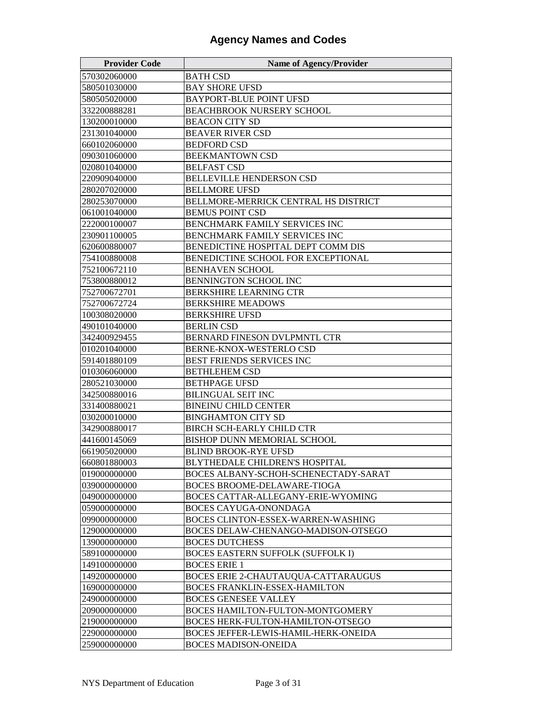| <b>Provider Code</b> | <b>Name of Agency/Provider</b>           |
|----------------------|------------------------------------------|
| 570302060000         | <b>BATH CSD</b>                          |
| 580501030000         | <b>BAY SHORE UFSD</b>                    |
| 580505020000         | <b>BAYPORT-BLUE POINT UFSD</b>           |
| 332200888281         | <b>BEACHBROOK NURSERY SCHOOL</b>         |
| 130200010000         | <b>BEACON CITY SD</b>                    |
| 231301040000         | <b>BEAVER RIVER CSD</b>                  |
| 660102060000         | <b>BEDFORD CSD</b>                       |
| 090301060000         | <b>BEEKMANTOWN CSD</b>                   |
| 020801040000         | <b>BELFAST CSD</b>                       |
| 220909040000         | <b>BELLEVILLE HENDERSON CSD</b>          |
| 280207020000         | <b>BELLMORE UFSD</b>                     |
| 280253070000         | BELLMORE-MERRICK CENTRAL HS DISTRICT     |
| 061001040000         | <b>BEMUS POINT CSD</b>                   |
| 222000100007         | BENCHMARK FAMILY SERVICES INC            |
| 230901100005         | BENCHMARK FAMILY SERVICES INC            |
| 620600880007         | BENEDICTINE HOSPITAL DEPT COMM DIS       |
| 754100880008         | BENEDICTINE SCHOOL FOR EXCEPTIONAL       |
| 752100672110         | <b>BENHAVEN SCHOOL</b>                   |
| 753800880012         | <b>BENNINGTON SCHOOL INC</b>             |
| 752700672701         | <b>BERKSHIRE LEARNING CTR</b>            |
| 752700672724         | <b>BERKSHIRE MEADOWS</b>                 |
| 100308020000         | <b>BERKSHIRE UFSD</b>                    |
| 490101040000         | <b>BERLIN CSD</b>                        |
| 342400929455         | BERNARD FINESON DVLPMNTL CTR             |
| 010201040000         | BERNE-KNOX-WESTERLO CSD                  |
| 591401880109         | <b>BEST FRIENDS SERVICES INC</b>         |
| 010306060000         | <b>BETHLEHEM CSD</b>                     |
| 280521030000         | <b>BETHPAGE UFSD</b>                     |
| 342500880016         | <b>BILINGUAL SEIT INC</b>                |
| 331400880021         | <b>BINEINU CHILD CENTER</b>              |
| 030200010000         | <b>BINGHAMTON CITY SD</b>                |
| 342900880017         | <b>BIRCH SCH-EARLY CHILD CTR</b>         |
| 441600145069         | BISHOP DUNN MEMORIAL SCHOOL              |
| 661905020000         | BLIND BROOK-RYE UFSD                     |
| 660801880003         | BLYTHEDALE CHILDREN'S HOSPITAL           |
| 019000000000         | BOCES ALBANY-SCHOH-SCHENECTADY-SARAT     |
| 039000000000         | BOCES BROOME-DELAWARE-TIOGA              |
| 049000000000         | BOCES CATTAR-ALLEGANY-ERIE-WYOMING       |
| 059000000000         | BOCES CAYUGA-ONONDAGA                    |
| 099000000000         | BOCES CLINTON-ESSEX-WARREN-WASHING       |
| 129000000000         | BOCES DELAW-CHENANGO-MADISON-OTSEGO      |
| 139000000000         | <b>BOCES DUTCHESS</b>                    |
| 589100000000         | <b>BOCES EASTERN SUFFOLK (SUFFOLK I)</b> |
| 149100000000         | <b>BOCES ERIE 1</b>                      |
| 149200000000         | BOCES ERIE 2-CHAUTAUQUA-CATTARAUGUS      |
| 169000000000         | BOCES FRANKLIN-ESSEX-HAMILTON            |
| 249000000000         | <b>BOCES GENESEE VALLEY</b>              |
| 209000000000         | BOCES HAMILTON-FULTON-MONTGOMERY         |
| 219000000000         | BOCES HERK-FULTON-HAMILTON-OTSEGO        |
| 229000000000         | BOCES JEFFER-LEWIS-HAMIL-HERK-ONEIDA     |
| 259000000000         | <b>BOCES MADISON-ONEIDA</b>              |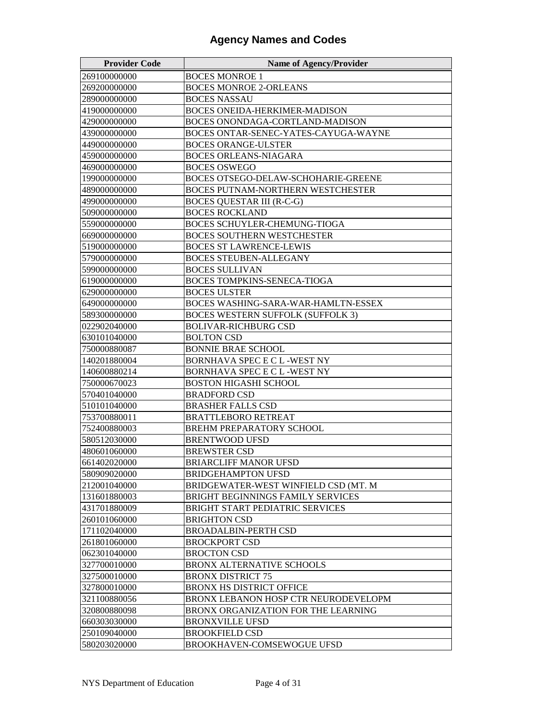| <b>Provider Code</b> | <b>Name of Agency/Provider</b>           |
|----------------------|------------------------------------------|
| 269100000000         | <b>BOCES MONROE 1</b>                    |
| 269200000000         | <b>BOCES MONROE 2-ORLEANS</b>            |
| 289000000000         | <b>BOCES NASSAU</b>                      |
| 419000000000         | BOCES ONEIDA-HERKIMER-MADISON            |
| 429000000000         | BOCES ONONDAGA-CORTLAND-MADISON          |
| 439000000000         | BOCES ONTAR-SENEC-YATES-CAYUGA-WAYNE     |
| 449000000000         | <b>BOCES ORANGE-ULSTER</b>               |
| 459000000000         | <b>BOCES ORLEANS-NIAGARA</b>             |
| 469000000000         | <b>BOCES OSWEGO</b>                      |
| 199000000000         | BOCES OTSEGO-DELAW-SCHOHARIE-GREENE      |
| 489000000000         | <b>BOCES PUTNAM-NORTHERN WESTCHESTER</b> |
| 499000000000         | <b>BOCES QUESTAR III (R-C-G)</b>         |
| 509000000000         | <b>BOCES ROCKLAND</b>                    |
| 559000000000         | BOCES SCHUYLER-CHEMUNG-TIOGA             |
| 669000000000         | <b>BOCES SOUTHERN WESTCHESTER</b>        |
| 519000000000         | <b>BOCES ST LAWRENCE-LEWIS</b>           |
| 579000000000         | <b>BOCES STEUBEN-ALLEGANY</b>            |
| 599000000000         | <b>BOCES SULLIVAN</b>                    |
| 619000000000         | <b>BOCES TOMPKINS-SENECA-TIOGA</b>       |
| 629000000000         | <b>BOCES ULSTER</b>                      |
| 649000000000         | BOCES WASHING-SARA-WAR-HAMLTN-ESSEX      |
| 589300000000         | <b>BOCES WESTERN SUFFOLK (SUFFOLK 3)</b> |
| 022902040000         | <b>BOLIVAR-RICHBURG CSD</b>              |
| 630101040000         | <b>BOLTON CSD</b>                        |
| 750000880087         | <b>BONNIE BRAE SCHOOL</b>                |
| 140201880004         | BORNHAVA SPEC E C L -WEST NY             |
| 140600880214         | BORNHAVA SPEC E C L -WEST NY             |
| 750000670023         | <b>BOSTON HIGASHI SCHOOL</b>             |
| 570401040000         | <b>BRADFORD CSD</b>                      |
| 510101040000         | <b>BRASHER FALLS CSD</b>                 |
| 753700880011         | <b>BRATTLEBORO RETREAT</b>               |
| 752400880003         | <b>BREHM PREPARATORY SCHOOL</b>          |
| 580512030000         | <b>BRENTWOOD UFSD</b>                    |
| 480601060000         | <b>BREWSTER CSD</b>                      |
| 661402020000         | <b>BRIARCLIFF MANOR UFSD</b>             |
| 580909020000         | BRIDGEHAMPTON UFSD                       |
| 212001040000         | BRIDGEWATER-WEST WINFIELD CSD (MT. M     |
| 131601880003         | BRIGHT BEGINNINGS FAMILY SERVICES        |
| 431701880009         | BRIGHT START PEDIATRIC SERVICES          |
| 260101060000         | <b>BRIGHTON CSD</b>                      |
| 171102040000         | <b>BROADALBIN-PERTH CSD</b>              |
| 261801060000         | <b>BROCKPORT CSD</b>                     |
| 062301040000         | <b>BROCTON CSD</b>                       |
| 327700010000         | BRONX ALTERNATIVE SCHOOLS                |
| 327500010000         | BRONX DISTRICT 75                        |
| 327800010000         | <b>BRONX HS DISTRICT OFFICE</b>          |
| 321100880056         | BRONX LEBANON HOSP CTR NEURODEVELOPM     |
| 320800880098         | BRONX ORGANIZATION FOR THE LEARNING      |
| 660303030000         | BRONXVILLE UFSD                          |
| 250109040000         | <b>BROOKFIELD CSD</b>                    |
| 580203020000         | BROOKHAVEN-COMSEWOGUE UFSD               |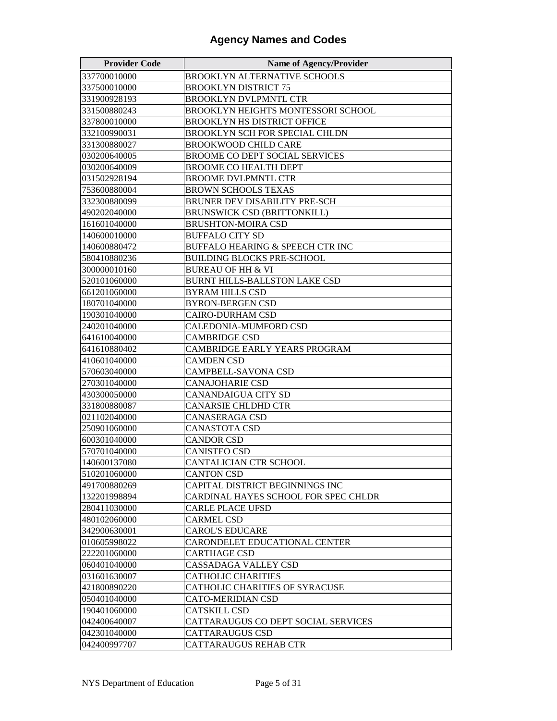| <b>Provider Code</b> | <b>Name of Agency/Provider</b>        |
|----------------------|---------------------------------------|
| 337700010000         | <b>BROOKLYN ALTERNATIVE SCHOOLS</b>   |
| 337500010000         | <b>BROOKLYN DISTRICT 75</b>           |
| 331900928193         | BROOKLYN DVLPMNTL CTR                 |
| 331500880243         | BROOKLYN HEIGHTS MONTESSORI SCHOOL    |
| 337800010000         | <b>BROOKLYN HS DISTRICT OFFICE</b>    |
| 332100990031         | BROOKLYN SCH FOR SPECIAL CHLDN        |
| 331300880027         | <b>BROOKWOOD CHILD CARE</b>           |
| 030200640005         | <b>BROOME CO DEPT SOCIAL SERVICES</b> |
| 030200640009         | <b>BROOME CO HEALTH DEPT</b>          |
| 031502928194         | <b>BROOME DVLPMNTL CTR</b>            |
| 753600880004         | <b>BROWN SCHOOLS TEXAS</b>            |
| 332300880099         | <b>BRUNER DEV DISABILITY PRE-SCH</b>  |
| 490202040000         | <b>BRUNSWICK CSD (BRITTONKILL)</b>    |
| 161601040000         | <b>BRUSHTON-MOIRA CSD</b>             |
| 140600010000         | <b>BUFFALO CITY SD</b>                |
| 140600880472         | BUFFALO HEARING & SPEECH CTR INC      |
| 580410880236         | <b>BUILDING BLOCKS PRE-SCHOOL</b>     |
| 300000010160         | <b>BUREAU OF HH &amp; VI</b>          |
| 520101060000         | BURNT HILLS-BALLSTON LAKE CSD         |
| 661201060000         | <b>BYRAM HILLS CSD</b>                |
| 180701040000         | <b>BYRON-BERGEN CSD</b>               |
| 190301040000         | <b>CAIRO-DURHAM CSD</b>               |
| 240201040000         | CALEDONIA-MUMFORD CSD                 |
| 641610040000         | <b>CAMBRIDGE CSD</b>                  |
| 641610880402         | CAMBRIDGE EARLY YEARS PROGRAM         |
| 410601040000         | <b>CAMDEN CSD</b>                     |
| 570603040000         | CAMPBELL-SAVONA CSD                   |
| 270301040000         | <b>CANAJOHARIE CSD</b>                |
| 430300050000         | CANANDAIGUA CITY SD                   |
| 331800880087         | CANARSIE CHLDHD CTR                   |
| 021102040000         | CANASERAGA CSD                        |
| 250901060000         | <b>CANASTOTA CSD</b>                  |
| 600301040000         | <b>CANDOR CSD</b>                     |
| 570701040000         | CANISTEO CSD                          |
| 140600137080         | CANTALICIAN CTR SCHOOL                |
| 510201060000         | <b>CANTON CSD</b>                     |
| 491700880269         | CAPITAL DISTRICT BEGINNINGS INC       |
| 132201998894         | CARDINAL HAYES SCHOOL FOR SPEC CHLDR  |
| 280411030000         | <b>CARLE PLACE UFSD</b>               |
| 480102060000         | <b>CARMEL CSD</b>                     |
| 342900630001         | <b>CAROL'S EDUCARE</b>                |
| 010605998022         | CARONDELET EDUCATIONAL CENTER         |
| 222201060000         | CARTHAGE CSD                          |
| 060401040000         | CASSADAGA VALLEY CSD                  |
| 031601630007         | <b>CATHOLIC CHARITIES</b>             |
| 421800890220         | CATHOLIC CHARITIES OF SYRACUSE        |
| 050401040000         | CATO-MERIDIAN CSD                     |
| 190401060000         | <b>CATSKILL CSD</b>                   |
| 042400640007         | CATTARAUGUS CO DEPT SOCIAL SERVICES   |
| 042301040000         | CATTARAUGUS CSD                       |
| 042400997707         | CATTARAUGUS REHAB CTR                 |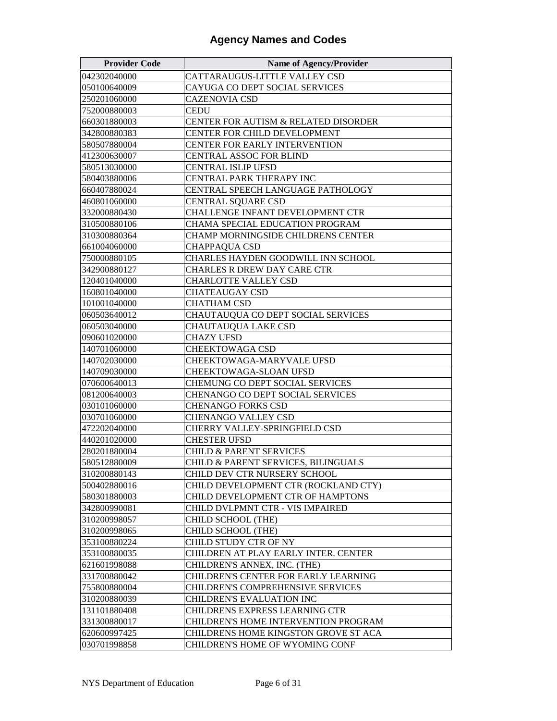| <b>Provider Code</b> | <b>Name of Agency/Provider</b>           |
|----------------------|------------------------------------------|
| 042302040000         | CATTARAUGUS-LITTLE VALLEY CSD            |
| 050100640009         | CAYUGA CO DEPT SOCIAL SERVICES           |
| 250201060000         | CAZENOVIA CSD                            |
| 752000880003         | CEDU                                     |
| 660301880003         | CENTER FOR AUTISM & RELATED DISORDER     |
| 342800880383         | CENTER FOR CHILD DEVELOPMENT             |
| 580507880004         | <b>CENTER FOR EARLY INTERVENTION</b>     |
| 412300630007         | <b>CENTRAL ASSOC FOR BLIND</b>           |
| 580513030000         | CENTRAL ISLIP UFSD                       |
| 580403880006         | <b>CENTRAL PARK THERAPY INC</b>          |
| 660407880024         | CENTRAL SPEECH LANGUAGE PATHOLOGY        |
| 460801060000         | CENTRAL SQUARE CSD                       |
| 332000880430         | CHALLENGE INFANT DEVELOPMENT CTR         |
| 310500880106         | CHAMA SPECIAL EDUCATION PROGRAM          |
| 310300880364         | CHAMP MORNINGSIDE CHILDRENS CENTER       |
| 661004060000         | <b>CHAPPAQUA CSD</b>                     |
| 750000880105         | CHARLES HAYDEN GOODWILL INN SCHOOL       |
| 342900880127         | <b>CHARLES R DREW DAY CARE CTR</b>       |
| 120401040000         | <b>CHARLOTTE VALLEY CSD</b>              |
| 160801040000         | <b>CHATEAUGAY CSD</b>                    |
| 101001040000         | <b>CHATHAM CSD</b>                       |
| 060503640012         | CHAUTAUQUA CO DEPT SOCIAL SERVICES       |
| 060503040000         | CHAUTAUQUA LAKE CSD                      |
| 090601020000         | CHAZY UFSD                               |
| 140701060000         | <b>CHEEKTOWAGA CSD</b>                   |
| 140702030000         | CHEEKTOWAGA-MARYVALE UFSD                |
| 140709030000         | <b>CHEEKTOWAGA-SLOAN UFSD</b>            |
| 070600640013         | CHEMUNG CO DEPT SOCIAL SERVICES          |
| 081200640003         | CHENANGO CO DEPT SOCIAL SERVICES         |
| 030101060000         | <b>CHENANGO FORKS CSD</b>                |
| 030701060000         | CHENANGO VALLEY CSD                      |
| 472202040000         | CHERRY VALLEY-SPRINGFIELD CSD            |
| 440201020000         | <b>CHESTER UFSD</b>                      |
| 280201880004         | <b>CHILD &amp; PARENT SERVICES</b>       |
| 580512880009         | CHILD & PARENT SERVICES, BILINGUALS      |
| 310200880143         | CHILD DEV CTR NURSERY SCHOOL             |
| 500402880016         | CHILD DEVELOPMENT CTR (ROCKLAND CTY)     |
| 580301880003         | CHILD DEVELOPMENT CTR OF HAMPTONS        |
| 342800990081         | CHILD DVLPMNT CTR - VIS IMPAIRED         |
| 310200998057         | CHILD SCHOOL (THE)                       |
| 310200998065         | CHILD SCHOOL (THE)                       |
| 353100880224         | CHILD STUDY CTR OF NY                    |
| 353100880035         | CHILDREN AT PLAY EARLY INTER. CENTER     |
| 621601998088         | CHILDREN'S ANNEX, INC. (THE)             |
| 331700880042         | CHILDREN'S CENTER FOR EARLY LEARNING     |
| 755800880004         | <b>CHILDREN'S COMPREHENSIVE SERVICES</b> |
| 310200880039         | CHILDREN'S EVALUATION INC                |
| 131101880408         | CHILDRENS EXPRESS LEARNING CTR           |
| 331300880017         | CHILDREN'S HOME INTERVENTION PROGRAM     |
| 620600997425         | CHILDRENS HOME KINGSTON GROVE ST ACA     |
| 030701998858         | CHILDREN'S HOME OF WYOMING CONF          |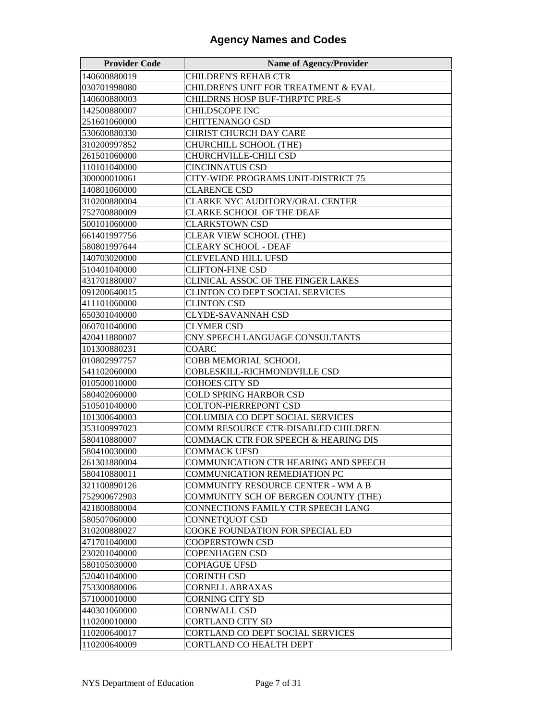| <b>Provider Code</b> | <b>Name of Agency/Provider</b>         |
|----------------------|----------------------------------------|
| 140600880019         | <b>CHILDREN'S REHAB CTR</b>            |
| 030701998080         | CHILDREN'S UNIT FOR TREATMENT & EVAL   |
| 140600880003         | CHILDRNS HOSP BUF-THRPTC PRE-S         |
| 142500880007         | CHILDSCOPE INC                         |
| 251601060000         | <b>CHITTENANGO CSD</b>                 |
| 530600880330         | CHRIST CHURCH DAY CARE                 |
| 310200997852         | CHURCHILL SCHOOL (THE)                 |
| 261501060000         | CHURCHVILLE-CHILI CSD                  |
| 110101040000         | <b>CINCINNATUS CSD</b>                 |
| 300000010061         | CITY-WIDE PROGRAMS UNIT-DISTRICT 75    |
| 140801060000         | <b>CLARENCE CSD</b>                    |
| 310200880004         | CLARKE NYC AUDITORY/ORAL CENTER        |
| 752700880009         | CLARKE SCHOOL OF THE DEAF              |
| 500101060000         | <b>CLARKSTOWN CSD</b>                  |
| 661401997756         | CLEAR VIEW SCHOOL (THE)                |
| 580801997644         | <b>CLEARY SCHOOL - DEAF</b>            |
| 140703020000         | CLEVELAND HILL UFSD                    |
| 510401040000         | <b>CLIFTON-FINE CSD</b>                |
| 431701880007         | CLINICAL ASSOC OF THE FINGER LAKES     |
| 091200640015         | <b>CLINTON CO DEPT SOCIAL SERVICES</b> |
| 411101060000         | <b>CLINTON CSD</b>                     |
| 650301040000         | <b>CLYDE-SAVANNAH CSD</b>              |
| 060701040000         | CLYMER CSD                             |
| 420411880007         | CNY SPEECH LANGUAGE CONSULTANTS        |
| 101300880231         | COARC                                  |
| 010802997757         | COBB MEMORIAL SCHOOL                   |
| 541102060000         | COBLESKILL-RICHMONDVILLE CSD           |
| 010500010000         | COHOES CITY SD                         |
| 580402060000         | COLD SPRING HARBOR CSD                 |
| 510501040000         | COLTON-PIERREPONT CSD                  |
| 101300640003         | COLUMBIA CO DEPT SOCIAL SERVICES       |
| 353100997023         | COMM RESOURCE CTR-DISABLED CHILDREN    |
| 580410880007         | COMMACK CTR FOR SPEECH & HEARING DIS   |
| 580410030000         | <b>COMMACK UFSD</b>                    |
| 261301880004         | COMMUNICATION CTR HEARING AND SPEECH   |
| 580410880011         | COMMUNICATION REMEDIATION PC           |
| 321100890126         | COMMUNITY RESOURCE CENTER - WM A B     |
| 752900672903         | COMMUNITY SCH OF BERGEN COUNTY (THE)   |
| 421800880004         | CONNECTIONS FAMILY CTR SPEECH LANG     |
| 580507060000         | CONNETQUOT CSD                         |
| 310200880027         | COOKE FOUNDATION FOR SPECIAL ED        |
| 471701040000         | COOPERSTOWN CSD                        |
| 230201040000         | <b>COPENHAGEN CSD</b>                  |
| 580105030000         | <b>COPIAGUE UFSD</b>                   |
| 520401040000         | <b>CORINTH CSD</b>                     |
| 753300880006         | <b>CORNELL ABRAXAS</b>                 |
| 571000010000         | <b>CORNING CITY SD</b>                 |
| 440301060000         | <b>CORNWALL CSD</b>                    |
| 110200010000         | <b>CORTLAND CITY SD</b>                |
| 110200640017         | CORTLAND CO DEPT SOCIAL SERVICES       |
| 110200640009         | CORTLAND CO HEALTH DEPT                |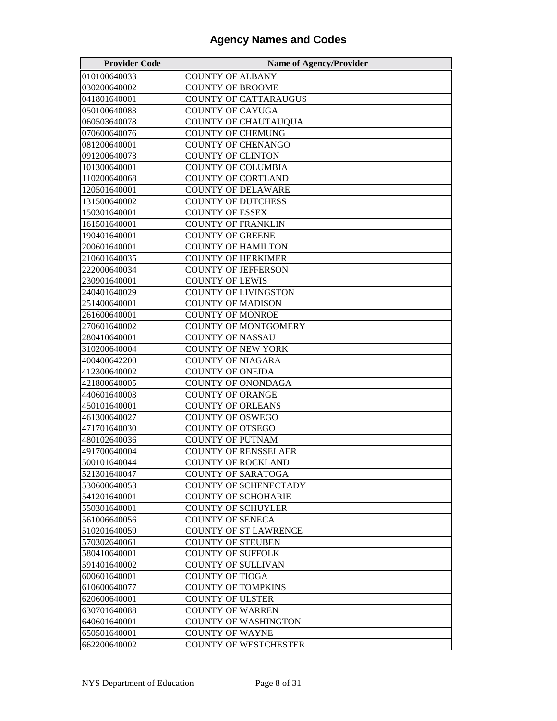| <b>Provider Code</b> | <b>Name of Agency/Provider</b> |
|----------------------|--------------------------------|
| 010100640033         | <b>COUNTY OF ALBANY</b>        |
| 030200640002         | <b>COUNTY OF BROOME</b>        |
| 041801640001         | <b>COUNTY OF CATTARAUGUS</b>   |
| 050100640083         | <b>COUNTY OF CAYUGA</b>        |
| 060503640078         | <b>COUNTY OF CHAUTAUQUA</b>    |
| 070600640076         | <b>COUNTY OF CHEMUNG</b>       |
| 081200640001         | <b>COUNTY OF CHENANGO</b>      |
| 091200640073         | <b>COUNTY OF CLINTON</b>       |
| 101300640001         | COUNTY OF COLUMBIA             |
| 110200640068         | <b>COUNTY OF CORTLAND</b>      |
| 120501640001         | <b>COUNTY OF DELAWARE</b>      |
| 131500640002         | <b>COUNTY OF DUTCHESS</b>      |
| 150301640001         | <b>COUNTY OF ESSEX</b>         |
| 161501640001         | <b>COUNTY OF FRANKLIN</b>      |
| 190401640001         | <b>COUNTY OF GREENE</b>        |
| 200601640001         | <b>COUNTY OF HAMILTON</b>      |
| 210601640035         | <b>COUNTY OF HERKIMER</b>      |
| 222000640034         | <b>COUNTY OF JEFFERSON</b>     |
| 230901640001         | <b>COUNTY OF LEWIS</b>         |
| 240401640029         | <b>COUNTY OF LIVINGSTON</b>    |
| 251400640001         | <b>COUNTY OF MADISON</b>       |
| 261600640001         | <b>COUNTY OF MONROE</b>        |
| 270601640002         | COUNTY OF MONTGOMERY           |
| 280410640001         | COUNTY OF NASSAU               |
| 310200640004         | <b>COUNTY OF NEW YORK</b>      |
| 400400642200         | <b>COUNTY OF NIAGARA</b>       |
| 412300640002         | <b>COUNTY OF ONEIDA</b>        |
| 421800640005         | <b>COUNTY OF ONONDAGA</b>      |
| 440601640003         | <b>COUNTY OF ORANGE</b>        |
| 450101640001         | <b>COUNTY OF ORLEANS</b>       |
| 461300640027         | COUNTY OF OSWEGO               |
| 471701640030         | <b>COUNTY OF OTSEGO</b>        |
| 480102640036         | <b>COUNTY OF PUTNAM</b>        |
| 491700640004         | <b>COUNTY OF RENSSELAER</b>    |
| 500101640044         | <b>COUNTY OF ROCKLAND</b>      |
| 521301640047         | <b>COUNTY OF SARATOGA</b>      |
| 530600640053         | <b>COUNTY OF SCHENECTADY</b>   |
| 541201640001         | <b>COUNTY OF SCHOHARIE</b>     |
| 550301640001         | <b>COUNTY OF SCHUYLER</b>      |
| 561006640056         | COUNTY OF SENECA               |
| 510201640059         | <b>COUNTY OF ST LAWRENCE</b>   |
| 570302640061         | <b>COUNTY OF STEUBEN</b>       |
| 580410640001         | <b>COUNTY OF SUFFOLK</b>       |
| 591401640002         | <b>COUNTY OF SULLIVAN</b>      |
| 600601640001         | COUNTY OF TIOGA                |
| 610600640077         | <b>COUNTY OF TOMPKINS</b>      |
| 620600640001         | <b>COUNTY OF ULSTER</b>        |
| 630701640088         | COUNTY OF WARREN               |
| 640601640001         | COUNTY OF WASHINGTON           |
| 650501640001         | COUNTY OF WAYNE                |
| 662200640002         | <b>COUNTY OF WESTCHESTER</b>   |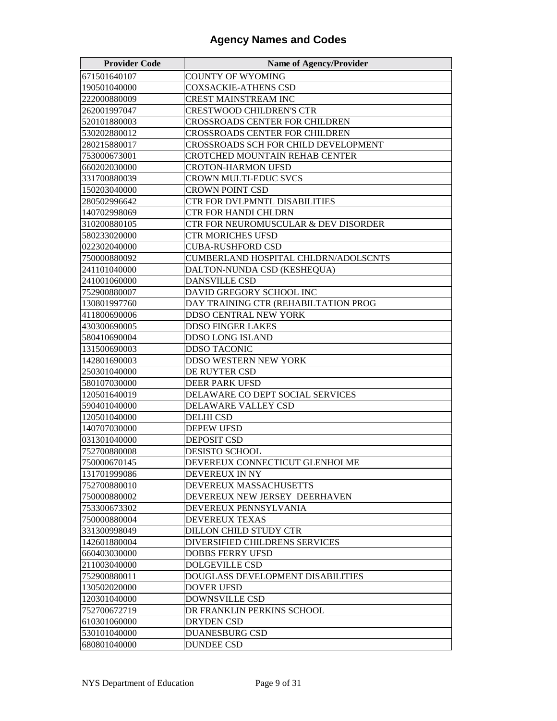| <b>Provider Code</b> | <b>Name of Agency/Provider</b>       |
|----------------------|--------------------------------------|
| 671501640107         | <b>COUNTY OF WYOMING</b>             |
| 190501040000         | <b>COXSACKIE-ATHENS CSD</b>          |
| 222000880009         | <b>CREST MAINSTREAM INC</b>          |
| 262001997047         | CRESTWOOD CHILDREN'S CTR             |
| 520101880003         | CROSSROADS CENTER FOR CHILDREN       |
| 530202880012         | CROSSROADS CENTER FOR CHILDREN       |
| 280215880017         | CROSSROADS SCH FOR CHILD DEVELOPMENT |
| 753000673001         | CROTCHED MOUNTAIN REHAB CENTER       |
| 660202030000         | <b>CROTON-HARMON UFSD</b>            |
| 331700880039         | CROWN MULTI-EDUC SVCS                |
| 150203040000         | CROWN POINT CSD                      |
| 280502996642         | CTR FOR DVLPMNTL DISABILITIES        |
| 140702998069         | <b>CTR FOR HANDI CHLDRN</b>          |
| 310200880105         | CTR FOR NEUROMUSCULAR & DEV DISORDER |
| 580233020000         | <b>CTR MORICHES UFSD</b>             |
| 022302040000         | <b>CUBA-RUSHFORD CSD</b>             |
| 750000880092         | CUMBERLAND HOSPITAL CHLDRN/ADOLSCNTS |
| 241101040000         | DALTON-NUNDA CSD (KESHEQUA)          |
| 241001060000         | <b>DANSVILLE CSD</b>                 |
| 752900880007         | DAVID GREGORY SCHOOL INC             |
| 130801997760         | DAY TRAINING CTR (REHABILTATION PROG |
| 411800690006         | <b>DDSO CENTRAL NEW YORK</b>         |
| 430300690005         | <b>DDSO FINGER LAKES</b>             |
| 580410690004         | DDSO LONG ISLAND                     |
| 131500690003         | <b>DDSO TACONIC</b>                  |
| 142801690003         | DDSO WESTERN NEW YORK                |
| 250301040000         | DE RUYTER CSD                        |
| 580107030000         | DEER PARK UFSD                       |
| 120501640019         | DELAWARE CO DEPT SOCIAL SERVICES     |
| 590401040000         | DELAWARE VALLEY CSD                  |
| 120501040000         | <b>DELHI CSD</b>                     |
| 140707030000         | <b>DEPEW UFSD</b>                    |
| 031301040000         | <b>DEPOSIT CSD</b>                   |
| 752700880008         | <b>DESISTO SCHOOL</b>                |
| 750000670145         | DEVEREUX CONNECTICUT GLENHOLME       |
| 131701999086         | DEVEREUX IN NY                       |
| 752700880010         | DEVEREUX MASSACHUSETTS               |
| 750000880002         | DEVEREUX NEW JERSEY DEERHAVEN        |
| 753300673302         | DEVEREUX PENNSYLVANIA                |
| 750000880004         | <b>DEVEREUX TEXAS</b>                |
| 331300998049         | <b>DILLON CHILD STUDY CTR</b>        |
| 142601880004         | DIVERSIFIED CHILDRENS SERVICES       |
| 660403030000         | DOBBS FERRY UFSD                     |
| 211003040000         | <b>DOLGEVILLE CSD</b>                |
| 752900880011         | DOUGLASS DEVELOPMENT DISABILITIES    |
| 130502020000         | <b>DOVER UFSD</b>                    |
| 120301040000         | <b>DOWNSVILLE CSD</b>                |
| 752700672719         | DR FRANKLIN PERKINS SCHOOL           |
| 610301060000         | DRYDEN CSD                           |
| 530101040000         | <b>DUANESBURG CSD</b>                |
| 680801040000         | <b>DUNDEE CSD</b>                    |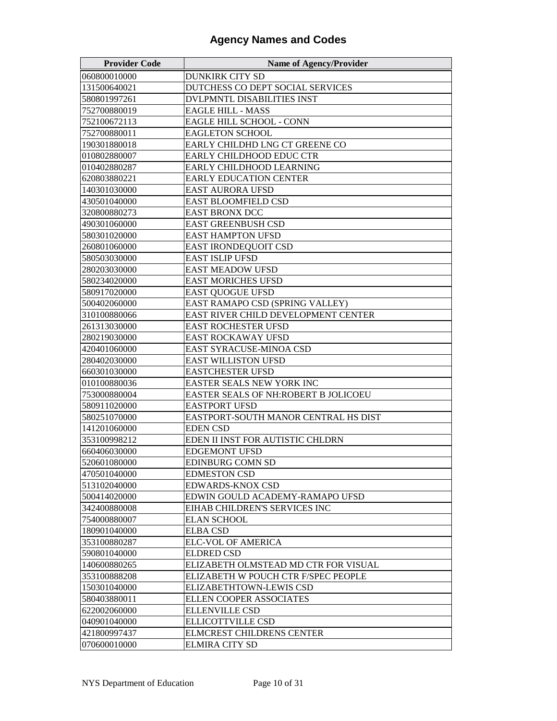| <b>Provider Code</b> | <b>Name of Agency/Provider</b>       |
|----------------------|--------------------------------------|
| 060800010000         | <b>DUNKIRK CITY SD</b>               |
| 131500640021         | DUTCHESS CO DEPT SOCIAL SERVICES     |
| 580801997261         | <b>DVLPMNTL DISABILITIES INST</b>    |
| 752700880019         | <b>EAGLE HILL - MASS</b>             |
| 752100672113         | EAGLE HILL SCHOOL - CONN             |
| 752700880011         | <b>EAGLETON SCHOOL</b>               |
| 190301880018         | EARLY CHILDHD LNG CT GREENE CO       |
| 010802880007         | EARLY CHILDHOOD EDUC CTR             |
| 010402880287         | EARLY CHILDHOOD LEARNING             |
| 620803880221         | <b>EARLY EDUCATION CENTER</b>        |
| 140301030000         | EAST AURORA UFSD                     |
| 430501040000         | <b>EAST BLOOMFIELD CSD</b>           |
| 320800880273         | <b>EAST BRONX DCC</b>                |
| 490301060000         | EAST GREENBUSH CSD                   |
| 580301020000         | <b>EAST HAMPTON UFSD</b>             |
| 260801060000         | EAST IRONDEQUOIT CSD                 |
| 580503030000         | <b>EAST ISLIP UFSD</b>               |
| 280203030000         | EAST MEADOW UFSD                     |
| 580234020000         | <b>EAST MORICHES UFSD</b>            |
| 580917020000         | EAST QUOGUE UFSD                     |
| 500402060000         | EAST RAMAPO CSD (SPRING VALLEY)      |
| 310100880066         | EAST RIVER CHILD DEVELOPMENT CENTER  |
| 261313030000         | EAST ROCHESTER UFSD                  |
| 280219030000         | EAST ROCKAWAY UFSD                   |
| 420401060000         | EAST SYRACUSE-MINOA CSD              |
| 280402030000         | <b>EAST WILLISTON UFSD</b>           |
| 660301030000         | <b>EASTCHESTER UFSD</b>              |
| 010100880036         | EASTER SEALS NEW YORK INC            |
| 753000880004         | EASTER SEALS OF NH:ROBERT B JOLICOEU |
| 580911020000         | <b>EASTPORT UFSD</b>                 |
| 580251070000         | EASTPORT-SOUTH MANOR CENTRAL HS DIST |
| 141201060000         | <b>EDEN CSD</b>                      |
| 353100998212         | EDEN II INST FOR AUTISTIC CHLDRN     |
| 660406030000         | <b>EDGEMONT UFSD</b>                 |
| 520601080000         | EDINBURG COMN SD                     |
| 470501040000         | <b>EDMESTON CSD</b>                  |
| 513102040000         | EDWARDS-KNOX CSD                     |
| 500414020000         | EDWIN GOULD ACADEMY-RAMAPO UFSD      |
| 342400880008         | EIHAB CHILDREN'S SERVICES INC        |
| 754000880007         | <b>ELAN SCHOOL</b>                   |
| 180901040000         | <b>ELBA CSD</b>                      |
| 353100880287         | ELC-VOL OF AMERICA                   |
| 590801040000         | <b>ELDRED CSD</b>                    |
| 140600880265         | ELIZABETH OLMSTEAD MD CTR FOR VISUAL |
| 353100888208         | ELIZABETH W POUCH CTR F/SPEC PEOPLE  |
| 150301040000         | ELIZABETHTOWN-LEWIS CSD              |
| 580403880011         | ELLEN COOPER ASSOCIATES              |
| 622002060000         | <b>ELLENVILLE CSD</b>                |
| 040901040000         | ELLICOTTVILLE CSD                    |
| 421800997437         | <b>ELMCREST CHILDRENS CENTER</b>     |
| 070600010000         | <b>ELMIRA CITY SD</b>                |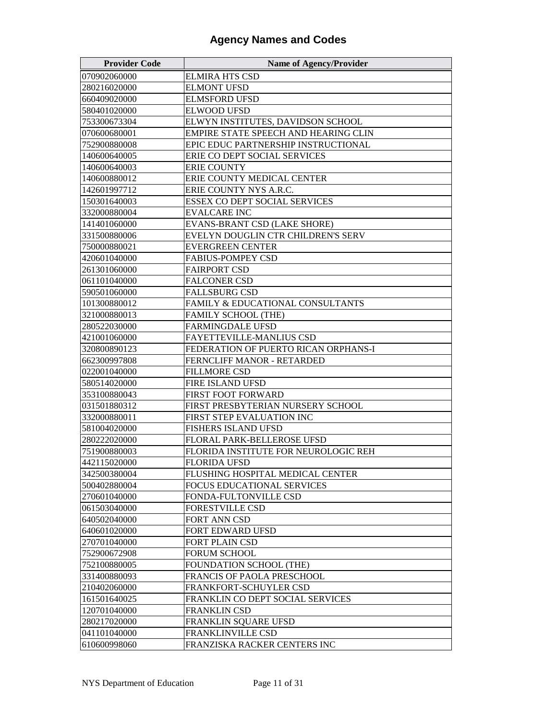| <b>Provider Code</b> | <b>Name of Agency/Provider</b>       |
|----------------------|--------------------------------------|
| 070902060000         | <b>ELMIRA HTS CSD</b>                |
| 280216020000         | <b>ELMONT UFSD</b>                   |
| 660409020000         | <b>ELMSFORD UFSD</b>                 |
| 580401020000         | <b>ELWOOD UFSD</b>                   |
| 753300673304         | ELWYN INSTITUTES, DAVIDSON SCHOOL    |
| 070600680001         | EMPIRE STATE SPEECH AND HEARING CLIN |
| 752900880008         | EPIC EDUC PARTNERSHIP INSTRUCTIONAL  |
| 140600640005         | ERIE CO DEPT SOCIAL SERVICES         |
| 140600640003         | <b>ERIE COUNTY</b>                   |
| 140600880012         | ERIE COUNTY MEDICAL CENTER           |
| 142601997712         | ERIE COUNTY NYS A.R.C.               |
| 150301640003         | <b>ESSEX CO DEPT SOCIAL SERVICES</b> |
| 332000880004         | <b>EVALCARE INC</b>                  |
| 141401060000         | EVANS-BRANT CSD (LAKE SHORE)         |
| 331500880006         | EVELYN DOUGLIN CTR CHILDREN'S SERV   |
| 750000880021         | <b>EVERGREEN CENTER</b>              |
| 420601040000         | <b>FABIUS-POMPEY CSD</b>             |
| 261301060000         | <b>FAIRPORT CSD</b>                  |
| 061101040000         | <b>FALCONER CSD</b>                  |
| 590501060000         | <b>FALLSBURG CSD</b>                 |
| 101300880012         | FAMILY & EDUCATIONAL CONSULTANTS     |
| 321000880013         | <b>FAMILY SCHOOL (THE)</b>           |
| 280522030000         | <b>FARMINGDALE UFSD</b>              |
| 421001060000         | <b>FAYETTEVILLE-MANLIUS CSD</b>      |
| 320800890123         | FEDERATION OF PUERTO RICAN ORPHANS-I |
| 662300997808         | FERNCLIFF MANOR - RETARDED           |
| 022001040000         | <b>FILLMORE CSD</b>                  |
| 580514020000         | FIRE ISLAND UFSD                     |
| 353100880043         | FIRST FOOT FORWARD                   |
| 031501880312         | FIRST PRESBYTERIAN NURSERY SCHOOL    |
| 332000880011         | FIRST STEP EVALUATION INC            |
| 581004020000         | FISHERS ISLAND UFSD                  |
| 280222020000         | FLORAL PARK-BELLEROSE UFSD           |
| 751900880003         | FLORIDA INSTITUTE FOR NEUROLOGIC REH |
| 442115020000         | <b>FLORIDA UFSD</b>                  |
| 342500380004         | FLUSHING HOSPITAL MEDICAL CENTER     |
| 500402880004         | <b>FOCUS EDUCATIONAL SERVICES</b>    |
| 270601040000         | <b>FONDA-FULTONVILLE CSD</b>         |
| 061503040000         | <b>FORESTVILLE CSD</b>               |
| 640502040000         | FORT ANN CSD                         |
| 640601020000         | FORT EDWARD UFSD                     |
| 270701040000         | FORT PLAIN CSD                       |
| 752900672908         | FORUM SCHOOL                         |
| 752100880005         | <b>FOUNDATION SCHOOL (THE)</b>       |
| 331400880093         | FRANCIS OF PAOLA PRESCHOOL           |
| 210402060000         | FRANKFORT-SCHUYLER CSD               |
| 161501640025         | FRANKLIN CO DEPT SOCIAL SERVICES     |
| 120701040000         | <b>FRANKLIN CSD</b>                  |
| 280217020000         | FRANKLIN SQUARE UFSD                 |
| 041101040000         | FRANKLINVILLE CSD                    |
| 610600998060         | FRANZISKA RACKER CENTERS INC         |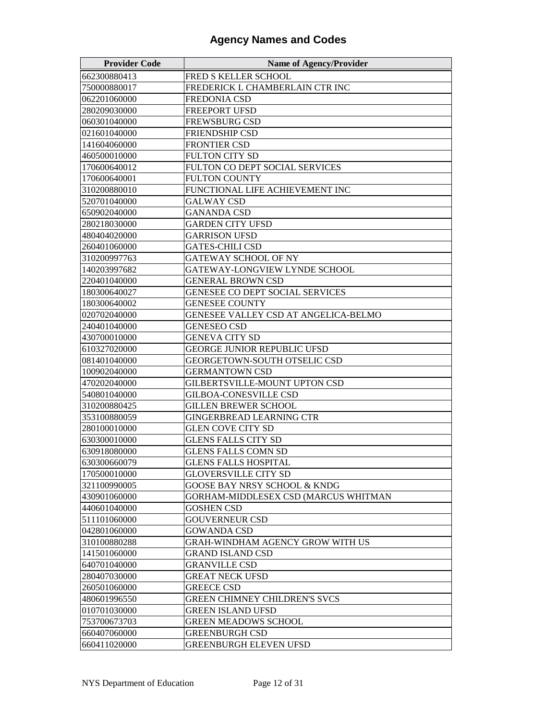| <b>Provider Code</b> | <b>Name of Agency/Provider</b>         |
|----------------------|----------------------------------------|
| 662300880413         | FRED S KELLER SCHOOL                   |
| 750000880017         | FREDERICK L CHAMBERLAIN CTR INC        |
| 062201060000         | FREDONIA CSD                           |
| 280209030000         | <b>FREEPORT UFSD</b>                   |
| 060301040000         | <b>FREWSBURG CSD</b>                   |
| 021601040000         | <b>FRIENDSHIP CSD</b>                  |
| 141604060000         | <b>FRONTIER CSD</b>                    |
| 460500010000         | FULTON CITY SD                         |
| 170600640012         | FULTON CO DEPT SOCIAL SERVICES         |
| 170600640001         | FULTON COUNTY                          |
| 310200880010         | FUNCTIONAL LIFE ACHIEVEMENT INC        |
| 520701040000         | <b>GALWAY CSD</b>                      |
| 650902040000         | <b>GANANDA CSD</b>                     |
| 280218030000         | <b>GARDEN CITY UFSD</b>                |
| 480404020000         | <b>GARRISON UFSD</b>                   |
| 260401060000         | <b>GATES-CHILI CSD</b>                 |
| 310200997763         | GATEWAY SCHOOL OF NY                   |
| 140203997682         | GATEWAY-LONGVIEW LYNDE SCHOOL          |
| 220401040000         | <b>GENERAL BROWN CSD</b>               |
| 180300640027         | <b>GENESEE CO DEPT SOCIAL SERVICES</b> |
| 180300640002         | <b>GENESEE COUNTY</b>                  |
| 020702040000         | GENESEE VALLEY CSD AT ANGELICA-BELMO   |
| 240401040000         | <b>GENESEO CSD</b>                     |
| 430700010000         | GENEVA CITY SD                         |
| 610327020000         | <b>GEORGE JUNIOR REPUBLIC UFSD</b>     |
| 081401040000         | <b>GEORGETOWN-SOUTH OTSELIC CSD</b>    |
| 100902040000         | <b>GERMANTOWN CSD</b>                  |
| 470202040000         | GILBERTSVILLE-MOUNT UPTON CSD          |
| 540801040000         | <b>GILBOA-CONESVILLE CSD</b>           |
| 310200880425         | <b>GILLEN BREWER SCHOOL</b>            |
| 353100880059         | GINGERBREAD LEARNING CTR               |
| 280100010000         | <b>GLEN COVE CITY SD</b>               |
| 630300010000         | GLENS FALLS CITY SD                    |
| 630918080000         | <b>GLENS FALLS COMN SD</b>             |
| 630300660079         | <b>GLENS FALLS HOSPITAL</b>            |
| 170500010000         | <b>GLOVERSVILLE CITY SD</b>            |
| 321100990005         | GOOSE BAY NRSY SCHOOL & KNDG           |
| 430901060000         | GORHAM-MIDDLESEX CSD (MARCUS WHITMAN   |
| 440601040000         | <b>GOSHEN CSD</b>                      |
| 511101060000         | <b>GOUVERNEUR CSD</b>                  |
| 042801060000         | <b>GOWANDA CSD</b>                     |
| 310100880288         | GRAH-WINDHAM AGENCY GROW WITH US       |
| 141501060000         | <b>GRAND ISLAND CSD</b>                |
| 640701040000         | <b>GRANVILLE CSD</b>                   |
| 280407030000         | <b>GREAT NECK UFSD</b>                 |
| 260501060000         | <b>GREECE CSD</b>                      |
| 480601996550         | <b>GREEN CHIMNEY CHILDREN'S SVCS</b>   |
| 010701030000         | GREEN ISLAND UFSD                      |
| 753700673703         | GREEN MEADOWS SCHOOL                   |
| 660407060000         | <b>GREENBURGH CSD</b>                  |
| 660411020000         | <b>GREENBURGH ELEVEN UFSD</b>          |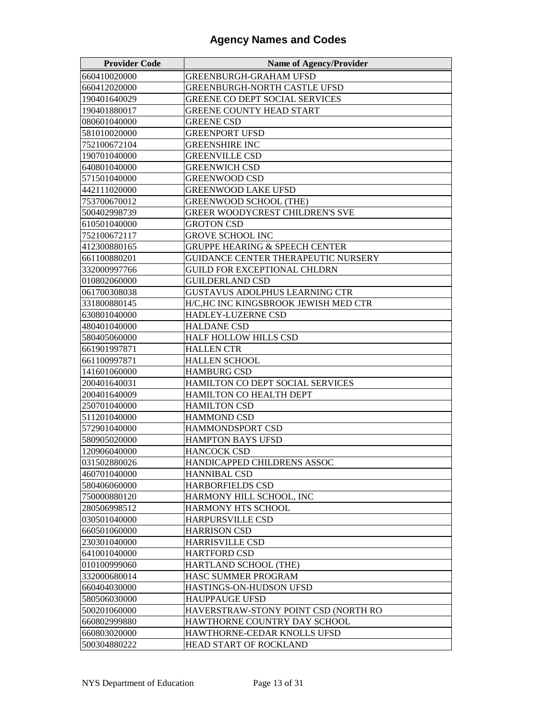| <b>Provider Code</b> | <b>Name of Agency/Provider</b>            |
|----------------------|-------------------------------------------|
| 660410020000         | <b>GREENBURGH-GRAHAM UFSD</b>             |
| 660412020000         | <b>GREENBURGH-NORTH CASTLE UFSD</b>       |
| 190401640029         | GREENE CO DEPT SOCIAL SERVICES            |
| 190401880017         | <b>GREENE COUNTY HEAD START</b>           |
| 080601040000         | <b>GREENE CSD</b>                         |
| 581010020000         | <b>GREENPORT UFSD</b>                     |
| 752100672104         | <b>GREENSHIRE INC</b>                     |
| 190701040000         | <b>GREENVILLE CSD</b>                     |
| 640801040000         | <b>GREENWICH CSD</b>                      |
| 571501040000         | <b>GREENWOOD CSD</b>                      |
| 442111020000         | <b>GREENWOOD LAKE UFSD</b>                |
| 753700670012         | <b>GREENWOOD SCHOOL (THE)</b>             |
| 500402998739         | <b>GREER WOODYCREST CHILDREN'S SVE</b>    |
| 610501040000         | <b>GROTON CSD</b>                         |
| 752100672117         | <b>GROVE SCHOOL INC</b>                   |
| 412300880165         | <b>GRUPPE HEARING &amp; SPEECH CENTER</b> |
| 661100880201         | GUIDANCE CENTER THERAPEUTIC NURSERY       |
| 332000997766         | <b>GUILD FOR EXCEPTIONAL CHLDRN</b>       |
| 010802060000         | <b>GUILDERLAND CSD</b>                    |
| 061700308038         | <b>GUSTAVUS ADOLPHUS LEARNING CTR</b>     |
| 331800880145         | H/C,HC INC KINGSBROOK JEWISH MED CTR      |
| 630801040000         | <b>HADLEY-LUZERNE CSD</b>                 |
| 480401040000         | <b>HALDANE CSD</b>                        |
| 580405060000         | <b>HALF HOLLOW HILLS CSD</b>              |
| 661901997871         | <b>HALLEN CTR</b>                         |
| 661100997871         | <b>HALLEN SCHOOL</b>                      |
| 141601060000         | <b>HAMBURG CSD</b>                        |
| 200401640031         | HAMILTON CO DEPT SOCIAL SERVICES          |
| 200401640009         | HAMILTON CO HEALTH DEPT                   |
| 250701040000         | <b>HAMILTON CSD</b>                       |
| 511201040000         | <b>HAMMOND CSD</b>                        |
| 572901040000         | HAMMONDSPORT CSD                          |
| 580905020000         | <b>HAMPTON BAYS UFSD</b>                  |
| 120906040000         | <b>HANCOCK CSD</b>                        |
| 031502880026         | HANDICAPPED CHILDRENS ASSOC               |
| 460701040000         | <b>HANNIBAL CSD</b>                       |
| 580406060000         | <b>HARBORFIELDS CSD</b>                   |
| 750000880120         | HARMONY HILL SCHOOL, INC                  |
| 280506998512         | HARMONY HTS SCHOOL                        |
| 030501040000         | <b>HARPURSVILLE CSD</b>                   |
| 660501060000         | <b>HARRISON CSD</b>                       |
| 230301040000         | <b>HARRISVILLE CSD</b>                    |
| 641001040000         | <b>HARTFORD CSD</b>                       |
| 010100999060         | HARTLAND SCHOOL (THE)                     |
| 332000680014         | HASC SUMMER PROGRAM                       |
| 660404030000         | HASTINGS-ON-HUDSON UFSD                   |
| 580506030000         | <b>HAUPPAUGE UFSD</b>                     |
| 500201060000         | HAVERSTRAW-STONY POINT CSD (NORTH RO      |
| 660802999880         | HAWTHORNE COUNTRY DAY SCHOOL              |
| 660803020000         | HAWTHORNE-CEDAR KNOLLS UFSD               |
| 500304880222         | HEAD START OF ROCKLAND                    |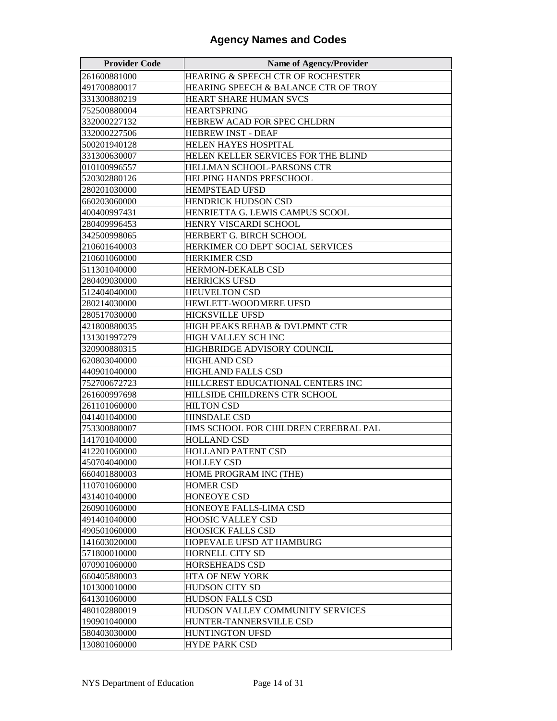| <b>Provider Code</b> | <b>Name of Agency/Provider</b>       |
|----------------------|--------------------------------------|
| 261600881000         | HEARING & SPEECH CTR OF ROCHESTER    |
| 491700880017         | HEARING SPEECH & BALANCE CTR OF TROY |
| 331300880219         | HEART SHARE HUMAN SVCS               |
| 752500880004         | <b>HEARTSPRING</b>                   |
| 332000227132         | HEBREW ACAD FOR SPEC CHLDRN          |
| 332000227506         | <b>HEBREW INST - DEAF</b>            |
| 500201940128         | <b>HELEN HAYES HOSPITAL</b>          |
| 331300630007         | HELEN KELLER SERVICES FOR THE BLIND  |
| 010100996557         | HELLMAN SCHOOL-PARSONS CTR           |
| 520302880126         | <b>HELPING HANDS PRESCHOOL</b>       |
| 280201030000         | <b>HEMPSTEAD UFSD</b>                |
| 660203060000         | <b>HENDRICK HUDSON CSD</b>           |
| 400400997431         | HENRIETTA G. LEWIS CAMPUS SCOOL      |
| 280409996453         | HENRY VISCARDI SCHOOL                |
| 342500998065         | HERBERT G. BIRCH SCHOOL              |
| 210601640003         | HERKIMER CO DEPT SOCIAL SERVICES     |
| 210601060000         | <b>HERKIMER CSD</b>                  |
| 511301040000         | HERMON-DEKALB CSD                    |
| 280409030000         | <b>HERRICKS UFSD</b>                 |
| 512404040000         | <b>HEUVELTON CSD</b>                 |
| 280214030000         | HEWLETT-WOODMERE UFSD                |
| 280517030000         | <b>HICKSVILLE UFSD</b>               |
| 421800880035         | HIGH PEAKS REHAB & DVLPMNT CTR       |
| 131301997279         | HIGH VALLEY SCH INC                  |
| 320900880315         | <b>HIGHBRIDGE ADVISORY COUNCIL</b>   |
| 620803040000         | <b>HIGHLAND CSD</b>                  |
| 440901040000         | <b>HIGHLAND FALLS CSD</b>            |
| 752700672723         | HILLCREST EDUCATIONAL CENTERS INC    |
| 261600997698         | HILLSIDE CHILDRENS CTR SCHOOL        |
| 261101060000         | <b>HILTON CSD</b>                    |
| 041401040000         | <b>HINSDALE CSD</b>                  |
| 753300880007         | HMS SCHOOL FOR CHILDREN CEREBRAL PAL |
| 141701040000         | <b>HOLLAND CSD</b>                   |
| 412201060000         | <b>HOLLAND PATENT CSD</b>            |
| 450704040000         | <b>HOLLEY CSD</b>                    |
| 660401880003         | HOME PROGRAM INC (THE)               |
| 110701060000         | <b>HOMER CSD</b>                     |
| 431401040000         | HONEOYE CSD                          |
| 260901060000         | HONEOYE FALLS-LIMA CSD               |
| 491401040000         | HOOSIC VALLEY CSD                    |
| 490501060000         | <b>HOOSICK FALLS CSD</b>             |
| 141603020000         | HOPEVALE UFSD AT HAMBURG             |
| 571800010000         | HORNELL CITY SD                      |
| 070901060000         | <b>HORSEHEADS CSD</b>                |
| 660405880003         | HTA OF NEW YORK                      |
| 101300010000         | <b>HUDSON CITY SD</b>                |
| 641301060000         | <b>HUDSON FALLS CSD</b>              |
| 480102880019         | HUDSON VALLEY COMMUNITY SERVICES     |
| 190901040000         | HUNTER-TANNERSVILLE CSD              |
| 580403030000         | HUNTINGTON UFSD                      |
| 130801060000         | <b>HYDE PARK CSD</b>                 |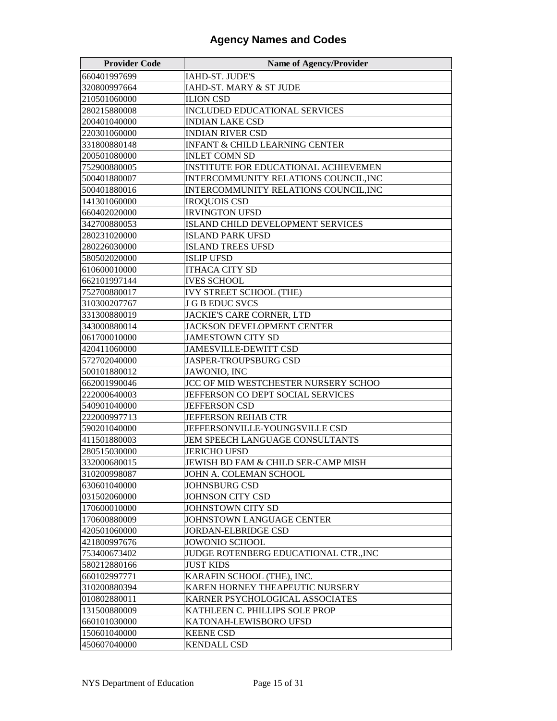| <b>Provider Code</b> | <b>Name of Agency/Provider</b>               |
|----------------------|----------------------------------------------|
| 660401997699         | IAHD-ST. JUDE'S                              |
| 320800997664         | IAHD-ST. MARY & ST JUDE                      |
| 210501060000         | <b>ILION CSD</b>                             |
| 280215880008         | <b>INCLUDED EDUCATIONAL SERVICES</b>         |
| 200401040000         | <b>INDIAN LAKE CSD</b>                       |
| 220301060000         | <b>INDIAN RIVER CSD</b>                      |
| 331800880148         | <b>INFANT &amp; CHILD LEARNING CENTER</b>    |
| 200501080000         | <b>INLET COMN SD</b>                         |
| 752900880005         | <b>INSTITUTE FOR EDUCATIONAL ACHIEVEMEN</b>  |
| 500401880007         | INTERCOMMUNITY RELATIONS COUNCIL, INC        |
| 500401880016         | <b>INTERCOMMUNITY RELATIONS COUNCIL, INC</b> |
| 141301060000         | <b>IROQUOIS CSD</b>                          |
| 660402020000         | <b>IRVINGTON UFSD</b>                        |
| 342700880053         | <b>ISLAND CHILD DEVELOPMENT SERVICES</b>     |
| 280231020000         | <b>ISLAND PARK UFSD</b>                      |
| 280226030000         | <b>ISLAND TREES UFSD</b>                     |
| 580502020000         | <b>ISLIP UFSD</b>                            |
| 610600010000         | <b>ITHACA CITY SD</b>                        |
| 662101997144         | <b>IVES SCHOOL</b>                           |
| 752700880017         | <b>IVY STREET SCHOOL (THE)</b>               |
| 310300207767         | <b>J G B EDUC SVCS</b>                       |
| 331300880019         | JACKIE'S CARE CORNER, LTD                    |
| 343000880014         | <b>JACKSON DEVELOPMENT CENTER</b>            |
| 061700010000         | <b>JAMESTOWN CITY SD</b>                     |
| 420411060000         | <b>JAMESVILLE-DEWITT CSD</b>                 |
| 572702040000         | JASPER-TROUPSBURG CSD                        |
| 500101880012         | JAWONIO, INC                                 |
| 662001990046         | JCC OF MID WESTCHESTER NURSERY SCHOO         |
| 222000640003         | JEFFERSON CO DEPT SOCIAL SERVICES            |
| 540901040000         | <b>JEFFERSON CSD</b>                         |
| 222000997713         | <b>JEFFERSON REHAB CTR</b>                   |
| 590201040000         | JEFFERSONVILLE-YOUNGSVILLE CSD               |
| 411501880003         | JEM SPEECH LANGUAGE CONSULTANTS              |
| 280515030000         | <b>JERICHO UFSD</b>                          |
| 332000680015         | JEWISH BD FAM & CHILD SER-CAMP MISH          |
| 310200998087         | JOHN A. COLEMAN SCHOOL                       |
| 630601040000         | <b>JOHNSBURG CSD</b>                         |
| 031502060000         | JOHNSON CITY CSD                             |
| 170600010000         | JOHNSTOWN CITY SD                            |
| 170600880009         | JOHNSTOWN LANGUAGE CENTER                    |
| 420501060000         | <b>JORDAN-ELBRIDGE CSD</b>                   |
| 421800997676         | <b>JOWONIO SCHOOL</b>                        |
| 753400673402         | JUDGE ROTENBERG EDUCATIONAL CTR., INC        |
| 580212880166         | <b>JUST KIDS</b>                             |
| 660102997771         | KARAFIN SCHOOL (THE), INC.                   |
| 310200880394         | KAREN HORNEY THEAPEUTIC NURSERY              |
| 010802880011         | KARNER PSYCHOLOGICAL ASSOCIATES              |
| 131500880009         | KATHLEEN C. PHILLIPS SOLE PROP               |
| 660101030000         | KATONAH-LEWISBORO UFSD                       |
| 150601040000         | <b>KEENE CSD</b>                             |
| 450607040000         | <b>KENDALL CSD</b>                           |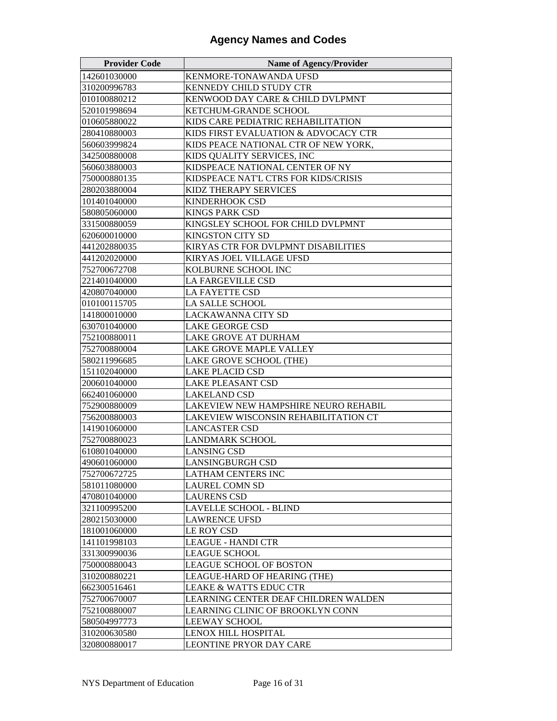| <b>Provider Code</b> | <b>Name of Agency/Provider</b>       |
|----------------------|--------------------------------------|
| 142601030000         | KENMORE-TONAWANDA UFSD               |
| 310200996783         | <b>KENNEDY CHILD STUDY CTR</b>       |
| 010100880212         | KENWOOD DAY CARE & CHILD DVLPMNT     |
| 520101998694         | KETCHUM-GRANDE SCHOOL                |
| 010605880022         | KIDS CARE PEDIATRIC REHABILITATION   |
| 280410880003         | KIDS FIRST EVALUATION & ADVOCACY CTR |
| 560603999824         | KIDS PEACE NATIONAL CTR OF NEW YORK, |
| 342500880008         | KIDS QUALITY SERVICES, INC           |
| 560603880003         | KIDSPEACE NATIONAL CENTER OF NY      |
| 750000880135         | KIDSPEACE NAT'L CTRS FOR KIDS/CRISIS |
| 280203880004         | KIDZ THERAPY SERVICES                |
| 101401040000         | <b>KINDERHOOK CSD</b>                |
| 580805060000         | <b>KINGS PARK CSD</b>                |
| 331500880059         | KINGSLEY SCHOOL FOR CHILD DVLPMNT    |
| 620600010000         | <b>KINGSTON CITY SD</b>              |
| 441202880035         | KIRYAS CTR FOR DVLPMNT DISABILITIES  |
| 441202020000         | KIRYAS JOEL VILLAGE UFSD             |
| 752700672708         | KOLBURNE SCHOOL INC                  |
| 221401040000         | LA FARGEVILLE CSD                    |
| 420807040000         | LA FAYETTE CSD                       |
| 010100115705         | LA SALLE SCHOOL                      |
| 141800010000         | LACKAWANNA CITY SD                   |
| 630701040000         | <b>LAKE GEORGE CSD</b>               |
| 752100880011         | LAKE GROVE AT DURHAM                 |
| 752700880004         | LAKE GROVE MAPLE VALLEY              |
| 580211996685         | LAKE GROVE SCHOOL (THE)              |
| 151102040000         | <b>LAKE PLACID CSD</b>               |
| 200601040000         | <b>LAKE PLEASANT CSD</b>             |
| 662401060000         | <b>LAKELAND CSD</b>                  |
| 752900880009         | LAKEVIEW NEW HAMPSHIRE NEURO REHABIL |
| 756200880003         | LAKEVIEW WISCONSIN REHABILITATION CT |
| 141901060000         | <b>LANCASTER CSD</b>                 |
| 752700880023         | LANDMARK SCHOOL                      |
| 610801040000         | <b>LANSING CSD</b>                   |
| 490601060000         | LANSINGBURGH CSD                     |
| 752700672725         | LATHAM CENTERS INC                   |
| 581011080000         | LAUREL COMN SD                       |
| 470801040000         | <b>LAURENS CSD</b>                   |
| 321100995200         | LAVELLE SCHOOL - BLIND               |
| 280215030000         | <b>LAWRENCE UFSD</b>                 |
| 181001060000         | LE ROY CSD                           |
| 141101998103         | <b>LEAGUE - HANDI CTR</b>            |
| 331300990036         | LEAGUE SCHOOL                        |
| 750000880043         | LEAGUE SCHOOL OF BOSTON              |
| 310200880221         | LEAGUE-HARD OF HEARING (THE)         |
| 662300516461         | LEAKE & WATTS EDUC CTR               |
| 752700670007         | LEARNING CENTER DEAF CHILDREN WALDEN |
| 752100880007         | LEARNING CLINIC OF BROOKLYN CONN     |
| 580504997773         | <b>LEEWAY SCHOOL</b>                 |
| 310200630580         | LENOX HILL HOSPITAL                  |
| 320800880017         | <b>LEONTINE PRYOR DAY CARE</b>       |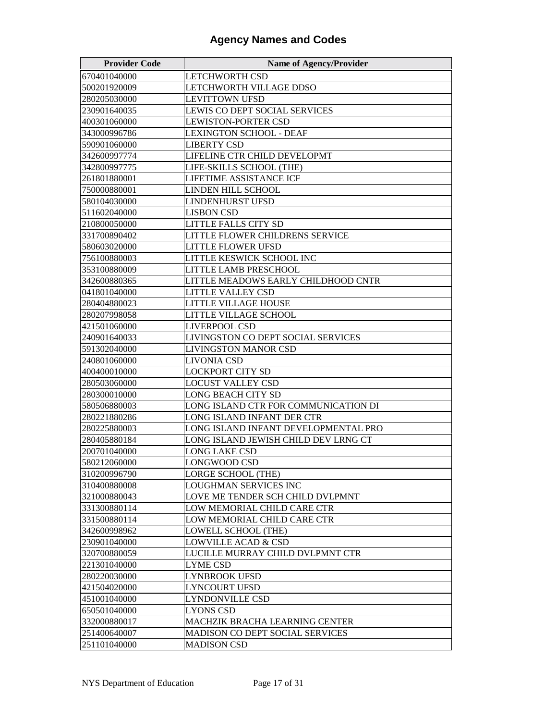| <b>Provider Code</b> | <b>Name of Agency/Provider</b>         |
|----------------------|----------------------------------------|
| 670401040000         | LETCHWORTH CSD                         |
| 500201920009         | LETCHWORTH VILLAGE DDSO                |
| 280205030000         | <b>LEVITTOWN UFSD</b>                  |
| 230901640035         | LEWIS CO DEPT SOCIAL SERVICES          |
| 400301060000         | <b>LEWISTON-PORTER CSD</b>             |
| 343000996786         | <b>LEXINGTON SCHOOL - DEAF</b>         |
| 590901060000         | <b>LIBERTY CSD</b>                     |
| 342600997774         | LIFELINE CTR CHILD DEVELOPMT           |
| 342800997775         | LIFE-SKILLS SCHOOL (THE)               |
| 261801880001         | LIFETIME ASSISTANCE ICF                |
| 750000880001         | LINDEN HILL SCHOOL                     |
| 580104030000         | <b>LINDENHURST UFSD</b>                |
| 511602040000         | <b>LISBON CSD</b>                      |
| 210800050000         | LITTLE FALLS CITY SD                   |
| 331700890402         | LITTLE FLOWER CHILDRENS SERVICE        |
| 580603020000         | <b>LITTLE FLOWER UFSD</b>              |
| 756100880003         | LITTLE KESWICK SCHOOL INC              |
| 353100880009         | LITTLE LAMB PRESCHOOL                  |
| 342600880365         | LITTLE MEADOWS EARLY CHILDHOOD CNTR    |
| 041801040000         | LITTLE VALLEY CSD                      |
| 280404880023         | LITTLE VILLAGE HOUSE                   |
| 280207998058         | LITTLE VILLAGE SCHOOL                  |
| 421501060000         | LIVERPOOL CSD                          |
| 240901640033         | LIVINGSTON CO DEPT SOCIAL SERVICES     |
| 591302040000         | <b>LIVINGSTON MANOR CSD</b>            |
| 240801060000         | <b>LIVONIA CSD</b>                     |
| 400400010000         | LOCKPORT CITY SD                       |
| 280503060000         | LOCUST VALLEY CSD                      |
| 280300010000         | LONG BEACH CITY SD                     |
| 580506880003         | LONG ISLAND CTR FOR COMMUNICATION DI   |
| 280221880286         | LONG ISLAND INFANT DER CTR             |
| 280225880003         | LONG ISLAND INFANT DEVELOPMENTAL PRO   |
| 280405880184         | LONG ISLAND JEWISH CHILD DEV LRNG CT   |
| 200701040000         | LONG LAKE CSD                          |
| 580212060000         | <b>LONGWOOD CSD</b>                    |
| 310200996790         | <b>LORGE SCHOOL (THE)</b>              |
| 310400880008         | LOUGHMAN SERVICES INC                  |
| 321000880043         | LOVE ME TENDER SCH CHILD DVLPMNT       |
| 331300880114         | LOW MEMORIAL CHILD CARE CTR            |
| 331500880114         | LOW MEMORIAL CHILD CARE CTR            |
| 342600998962         | LOWELL SCHOOL (THE)                    |
| 230901040000         | <b>LOWVILLE ACAD &amp; CSD</b>         |
| 320700880059         | LUCILLE MURRAY CHILD DVLPMNT CTR       |
| 221301040000         | LYME CSD                               |
| 280220030000         | LYNBROOK UFSD                          |
| 421504020000         | LYNCOURT UFSD                          |
| 451001040000         | LYNDONVILLE CSD                        |
| 650501040000         | LYONS CSD                              |
| 332000880017         | MACHZIK BRACHA LEARNING CENTER         |
| 251400640007         | <b>MADISON CO DEPT SOCIAL SERVICES</b> |
| 251101040000         | <b>MADISON CSD</b>                     |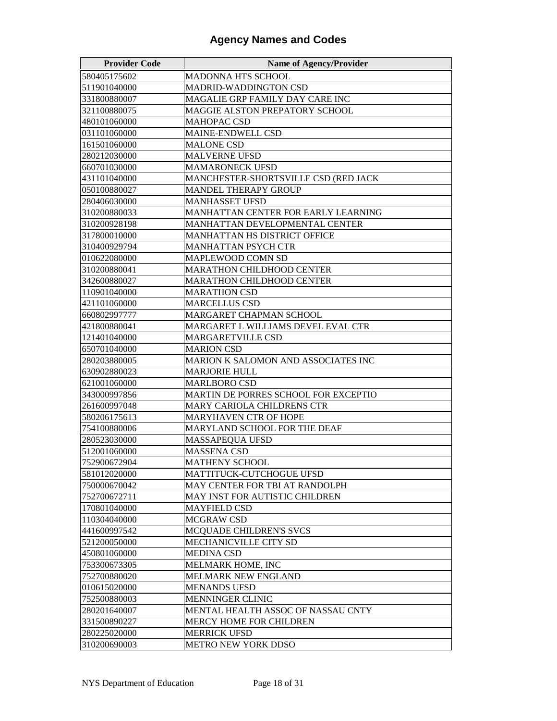| <b>Provider Code</b> | <b>Name of Agency/Provider</b>       |
|----------------------|--------------------------------------|
| 580405175602         | <b>MADONNA HTS SCHOOL</b>            |
| 511901040000         | MADRID-WADDINGTON CSD                |
| 331800880007         | MAGALIE GRP FAMILY DAY CARE INC      |
| 321100880075         | MAGGIE ALSTON PREPATORY SCHOOL       |
| 480101060000         | MAHOPAC CSD                          |
| 031101060000         | <b>MAINE-ENDWELL CSD</b>             |
| 161501060000         | <b>MALONE CSD</b>                    |
| 280212030000         | <b>MALVERNE UFSD</b>                 |
| 660701030000         | <b>MAMARONECK UFSD</b>               |
| 431101040000         | MANCHESTER-SHORTSVILLE CSD (RED JACK |
| 050100880027         | <b>MANDEL THERAPY GROUP</b>          |
| 280406030000         | <b>MANHASSET UFSD</b>                |
| 310200880033         | MANHATTAN CENTER FOR EARLY LEARNING  |
| 310200928198         | MANHATTAN DEVELOPMENTAL CENTER       |
| 317800010000         | MANHATTAN HS DISTRICT OFFICE         |
| 310400929794         | <b>MANHATTAN PSYCH CTR</b>           |
| 010622080000         | <b>MAPLEWOOD COMN SD</b>             |
| 310200880041         | <b>MARATHON CHILDHOOD CENTER</b>     |
| 342600880027         | <b>MARATHON CHILDHOOD CENTER</b>     |
| 110901040000         | <b>MARATHON CSD</b>                  |
| 421101060000         | <b>MARCELLUS CSD</b>                 |
| 660802997777         | MARGARET CHAPMAN SCHOOL              |
| 421800880041         | MARGARET L WILLIAMS DEVEL EVAL CTR   |
| 121401040000         | <b>MARGARETVILLE CSD</b>             |
| 650701040000         | <b>MARION CSD</b>                    |
| 280203880005         | MARION K SALOMON AND ASSOCIATES INC  |
| 630902880023         | <b>MARJORIE HULL</b>                 |
| 621001060000         | <b>MARLBORO CSD</b>                  |
| 343000997856         | MARTIN DE PORRES SCHOOL FOR EXCEPTIO |
| 261600997048         | MARY CARIOLA CHILDRENS CTR           |
| 580206175613         | MARYHAVEN CTR OF HOPE                |
| 754100880006         | MARYLAND SCHOOL FOR THE DEAF         |
| 280523030000         | <b>MASSAPEQUA UFSD</b>               |
| 512001060000         | <b>MASSENA CSD</b>                   |
| 752900672904         | <b>MATHENY SCHOOL</b>                |
| 581012020000         | MATTITUCK-CUTCHOGUE UFSD             |
| 750000670042         | MAY CENTER FOR TBI AT RANDOLPH       |
| 752700672711         | MAY INST FOR AUTISTIC CHILDREN       |
| 170801040000         | <b>MAYFIELD CSD</b>                  |
| 110304040000         | MCGRAW CSD                           |
| 441600997542         | MCQUADE CHILDREN'S SVCS              |
| 521200050000         | MECHANICVILLE CITY SD                |
| 450801060000         | <b>MEDINA CSD</b>                    |
| 753300673305         | MELMARK HOME, INC                    |
| 752700880020         | <b>MELMARK NEW ENGLAND</b>           |
| 010615020000         | <b>MENANDS UFSD</b>                  |
| 752500880003         | <b>MENNINGER CLINIC</b>              |
| 280201640007         | MENTAL HEALTH ASSOC OF NASSAU CNTY   |
| 331500890227         | MERCY HOME FOR CHILDREN              |
| 280225020000         | <b>MERRICK UFSD</b>                  |
| 310200690003         | <b>METRO NEW YORK DDSO</b>           |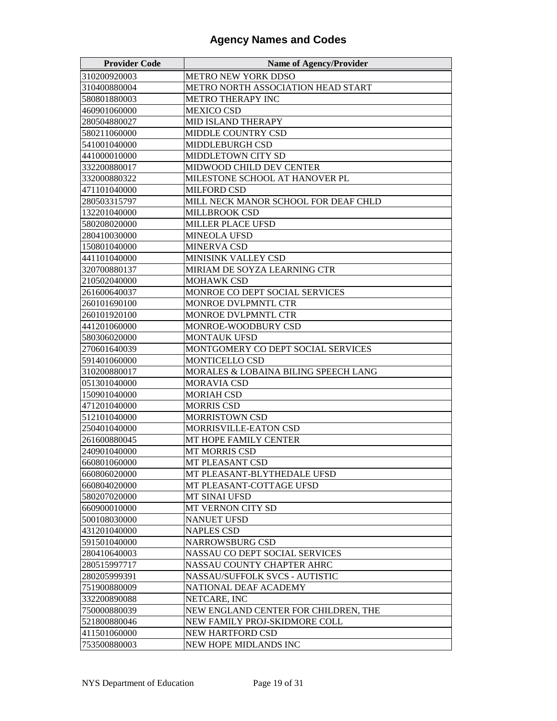| <b>Provider Code</b> | <b>Name of Agency/Provider</b>       |
|----------------------|--------------------------------------|
| 310200920003         | METRO NEW YORK DDSO                  |
| 310400880004         | METRO NORTH ASSOCIATION HEAD START   |
| 580801880003         | METRO THERAPY INC                    |
| 460901060000         | <b>MEXICO CSD</b>                    |
| 280504880027         | <b>MID ISLAND THERAPY</b>            |
| 580211060000         | <b>MIDDLE COUNTRY CSD</b>            |
| 541001040000         | MIDDLEBURGH CSD                      |
| 441000010000         | <b>MIDDLETOWN CITY SD</b>            |
| 332200880017         | MIDWOOD CHILD DEV CENTER             |
| 332000880322         | MILESTONE SCHOOL AT HANOVER PL       |
| 471101040000         | <b>MILFORD CSD</b>                   |
| 280503315797         | MILL NECK MANOR SCHOOL FOR DEAF CHLD |
| 132201040000         | MILLBROOK CSD                        |
| 580208020000         | MILLER PLACE UFSD                    |
| 280410030000         | <b>MINEOLA UFSD</b>                  |
| 150801040000         | <b>MINERVA CSD</b>                   |
| 441101040000         | MINISINK VALLEY CSD                  |
| 320700880137         | MIRIAM DE SOYZA LEARNING CTR         |
| 210502040000         | <b>MOHAWK CSD</b>                    |
| 261600640037         | MONROE CO DEPT SOCIAL SERVICES       |
| 260101690100         | MONROE DVLPMNTL CTR                  |
| 260101920100         | MONROE DVLPMNTL CTR                  |
| 441201060000         | MONROE-WOODBURY CSD                  |
| 580306020000         | <b>MONTAUK UFSD</b>                  |
| 270601640039         | MONTGOMERY CO DEPT SOCIAL SERVICES   |
| 591401060000         | MONTICELLO CSD                       |
| 310200880017         | MORALES & LOBAINA BILING SPEECH LANG |
| 051301040000         | <b>MORAVIA CSD</b>                   |
| 150901040000         | <b>MORIAH CSD</b>                    |
| 471201040000         | <b>MORRIS CSD</b>                    |
| 512101040000         | MORRISTOWN CSD                       |
| 250401040000         | MORRISVILLE-EATON CSD                |
| 261600880045         | MT HOPE FAMILY CENTER                |
| 240901040000         | <b>MT MORRIS CSD</b>                 |
| 660801060000         | MT PLEASANT CSD                      |
| 660806020000         | MT PLEASANT-BLYTHEDALE UFSD          |
| 660804020000         | MT PLEASANT-COTTAGE UFSD             |
| 580207020000         | MT SINAI UFSD                        |
| 660900010000         | MT VERNON CITY SD                    |
| 500108030000         | <b>NANUET UFSD</b>                   |
| 431201040000         | <b>NAPLES CSD</b>                    |
| 591501040000         | NARROWSBURG CSD                      |
| 280410640003         | NASSAU CO DEPT SOCIAL SERVICES       |
| 280515997717         | NASSAU COUNTY CHAPTER AHRC           |
| 280205999391         | NASSAU/SUFFOLK SVCS - AUTISTIC       |
| 751900880009         | NATIONAL DEAF ACADEMY                |
| 332200890088         | NETCARE, INC                         |
| 750000880039         | NEW ENGLAND CENTER FOR CHILDREN, THE |
| 521800880046         | NEW FAMILY PROJ-SKIDMORE COLL        |
| 411501060000         | NEW HARTFORD CSD                     |
| 753500880003         | NEW HOPE MIDLANDS INC                |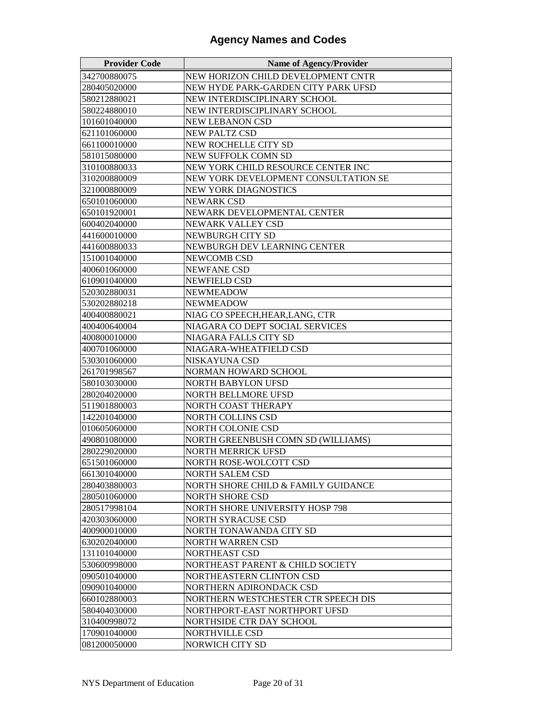| <b>Provider Code</b> | <b>Name of Agency/Provider</b>       |
|----------------------|--------------------------------------|
| 342700880075         | NEW HORIZON CHILD DEVELOPMENT CNTR   |
| 280405020000         | NEW HYDE PARK-GARDEN CITY PARK UFSD  |
| 580212880021         | NEW INTERDISCIPLINARY SCHOOL         |
| 580224880010         | NEW INTERDISCIPLINARY SCHOOL         |
| 101601040000         | <b>NEW LEBANON CSD</b>               |
| 621101060000         | <b>NEW PALTZ CSD</b>                 |
| 661100010000         | NEW ROCHELLE CITY SD                 |
| 581015080000         | <b>NEW SUFFOLK COMN SD</b>           |
| 310100880033         | NEW YORK CHILD RESOURCE CENTER INC   |
| 310200880009         | NEW YORK DEVELOPMENT CONSULTATION SE |
| 321000880009         | <b>NEW YORK DIAGNOSTICS</b>          |
| 650101060000         | <b>NEWARK CSD</b>                    |
| 650101920001         | NEWARK DEVELOPMENTAL CENTER          |
| 600402040000         | NEWARK VALLEY CSD                    |
| 441600010000         | NEWBURGH CITY SD                     |
| 441600880033         | NEWBURGH DEV LEARNING CENTER         |
| 151001040000         | NEWCOMB CSD                          |
| 400601060000         | <b>NEWFANE CSD</b>                   |
| 610901040000         | <b>NEWFIELD CSD</b>                  |
| 520302880031         | <b>NEWMEADOW</b>                     |
| 530202880218         | <b>NEWMEADOW</b>                     |
| 400400880021         | NIAG CO SPEECH, HEAR, LANG, CTR      |
| 400400640004         | NIAGARA CO DEPT SOCIAL SERVICES      |
| 400800010000         | NIAGARA FALLS CITY SD                |
| 400701060000         | NIAGARA-WHEATFIELD CSD               |
| 530301060000         | NISKAYUNA CSD                        |
| 261701998567         | NORMAN HOWARD SCHOOL                 |
| 580103030000         | NORTH BABYLON UFSD                   |
| 280204020000         | NORTH BELLMORE UFSD                  |
| 511901880003         | NORTH COAST THERAPY                  |
| 142201040000         | NORTH COLLINS CSD                    |
| 010605060000         | <b>NORTH COLONIE CSD</b>             |
| 490801080000         | NORTH GREENBUSH COMN SD (WILLIAMS)   |
| 280229020000         | <b>NORTH MERRICK UFSD</b>            |
| 651501060000         | NORTH ROSE-WOLCOTT CSD               |
| 661301040000         | <b>NORTH SALEM CSD</b>               |
| 280403880003         | NORTH SHORE CHILD & FAMILY GUIDANCE  |
| 280501060000         | <b>NORTH SHORE CSD</b>               |
| 280517998104         | NORTH SHORE UNIVERSITY HOSP 798      |
| 420303060000         | <b>NORTH SYRACUSE CSD</b>            |
| 400900010000         | NORTH TONAWANDA CITY SD              |
| 630202040000         | NORTH WARREN CSD                     |
| 131101040000         | NORTHEAST CSD                        |
| 530600998000         | NORTHEAST PARENT & CHILD SOCIETY     |
| 090501040000         | NORTHEASTERN CLINTON CSD             |
| 090901040000         | NORTHERN ADIRONDACK CSD              |
| 660102880003         | NORTHERN WESTCHESTER CTR SPEECH DIS  |
| 580404030000         | NORTHPORT-EAST NORTHPORT UFSD        |
| 310400998072         | NORTHSIDE CTR DAY SCHOOL             |
| 170901040000         | NORTHVILLE CSD                       |
| 081200050000         | NORWICH CITY SD                      |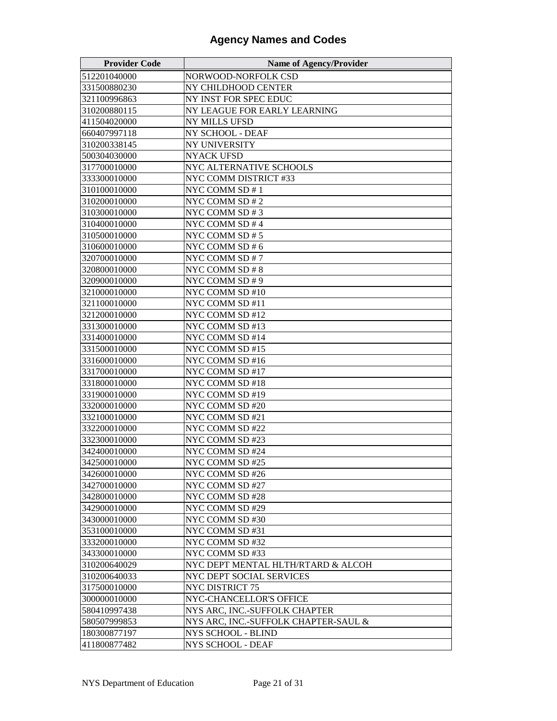| <b>Provider Code</b> | <b>Name of Agency/Provider</b>       |
|----------------------|--------------------------------------|
| 512201040000         | NORWOOD-NORFOLK CSD                  |
| 331500880230         | NY CHILDHOOD CENTER                  |
| 321100996863         | NY INST FOR SPEC EDUC                |
| 310200880115         | NY LEAGUE FOR EARLY LEARNING         |
| 411504020000         | <b>NY MILLS UFSD</b>                 |
| 660407997118         | NY SCHOOL - DEAF                     |
| 310200338145         | NY UNIVERSITY                        |
| 500304030000         | <b>NYACK UFSD</b>                    |
| 317700010000         | NYC ALTERNATIVE SCHOOLS              |
| 333300010000         | NYC COMM DISTRICT #33                |
| 310100010000         | NYC COMM SD # 1                      |
| 310200010000         | NYC COMM SD # 2                      |
| 310300010000         | NYC COMM SD #3                       |
| 310400010000         | NYC COMM SD #4                       |
| 310500010000         | NYC COMM SD #5                       |
| 310600010000         | NYC COMM SD # 6                      |
| 320700010000         | NYC COMM SD #7                       |
| 320800010000         | NYC COMM SD #8                       |
| 320900010000         | NYC COMM SD # 9                      |
| 321000010000         | NYC COMM SD #10                      |
| 321100010000         | NYC COMM SD #11                      |
| 321200010000         | NYC COMM SD #12                      |
| 331300010000         | NYC COMM SD #13                      |
| 331400010000         | NYC COMM SD #14                      |
| 331500010000         | NYC COMM SD #15                      |
| 331600010000         | NYC COMM SD #16                      |
| 331700010000         | NYC COMM SD #17                      |
| 331800010000         | NYC COMM SD #18                      |
| 331900010000         | NYC COMM SD #19                      |
| 332000010000         | NYC COMM SD #20                      |
| 332100010000         | NYC COMM SD #21                      |
| 332200010000         | NYC COMM SD #22                      |
| 332300010000         | NYC COMM SD #23                      |
| 342400010000         | NYC COMM SD #24                      |
| 342500010000         | NYC COMM SD #25                      |
| 342600010000         | NYC COMM SD #26                      |
| 342700010000         | NYC COMM SD #27                      |
| 342800010000         | NYC COMM SD #28                      |
| 342900010000         | NYC COMM SD #29                      |
| 343000010000         | NYC COMM SD #30                      |
| 353100010000         | NYC COMM SD #31                      |
| 333200010000         | NYC COMM SD #32                      |
| 343300010000         | NYC COMM SD #33                      |
| 310200640029         | NYC DEPT MENTAL HLTH/RTARD & ALCOH   |
| 310200640033         | NYC DEPT SOCIAL SERVICES             |
| 317500010000         | NYC DISTRICT 75                      |
| 300000010000         | NYC-CHANCELLOR'S OFFICE              |
| 580410997438         | NYS ARC, INC.-SUFFOLK CHAPTER        |
| 580507999853         | NYS ARC, INC.-SUFFOLK CHAPTER-SAUL & |
| 180300877197         | NYS SCHOOL - BLIND                   |
| 411800877482         | NYS SCHOOL - DEAF                    |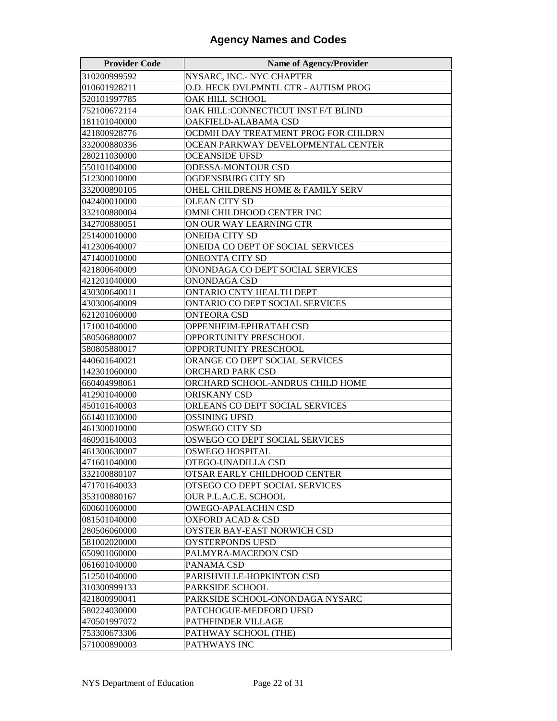| <b>Provider Code</b> | <b>Name of Agency/Provider</b>       |
|----------------------|--------------------------------------|
| 310200999592         | NYSARC, INC.- NYC CHAPTER            |
| 010601928211         | O.D. HECK DVLPMNTL CTR - AUTISM PROG |
| 520101997785         | OAK HILL SCHOOL                      |
| 752100672114         | OAK HILL:CONNECTICUT INST F/T BLIND  |
| 181101040000         | OAKFIELD-ALABAMA CSD                 |
| 421800928776         | OCDMH DAY TREATMENT PROG FOR CHLDRN  |
| 332000880336         | OCEAN PARKWAY DEVELOPMENTAL CENTER   |
| 280211030000         | <b>OCEANSIDE UFSD</b>                |
| 550101040000         | <b>ODESSA-MONTOUR CSD</b>            |
| 512300010000         | <b>OGDENSBURG CITY SD</b>            |
| 332000890105         | OHEL CHILDRENS HOME & FAMILY SERV    |
| 042400010000         | <b>OLEAN CITY SD</b>                 |
| 332100880004         | OMNI CHILDHOOD CENTER INC            |
| 342700880051         | ON OUR WAY LEARNING CTR              |
| 251400010000         | <b>ONEIDA CITY SD</b>                |
| 412300640007         | ONEIDA CO DEPT OF SOCIAL SERVICES    |
| 471400010000         | <b>ONEONTA CITY SD</b>               |
| 421800640009         | ONONDAGA CO DEPT SOCIAL SERVICES     |
| 421201040000         | ONONDAGA CSD                         |
| 430300640011         | <b>ONTARIO CNTY HEALTH DEPT</b>      |
| 430300640009         | ONTARIO CO DEPT SOCIAL SERVICES      |
| 621201060000         | ONTEORA CSD                          |
| 171001040000         | OPPENHEIM-EPHRATAH CSD               |
| 580506880007         | OPPORTUNITY PRESCHOOL                |
| 580805880017         | OPPORTUNITY PRESCHOOL                |
| 440601640021         | ORANGE CO DEPT SOCIAL SERVICES       |
| 142301060000         | ORCHARD PARK CSD                     |
| 660404998061         | ORCHARD SCHOOL-ANDRUS CHILD HOME     |
| 412901040000         | ORISKANY CSD                         |
| 450101640003         | ORLEANS CO DEPT SOCIAL SERVICES      |
| 661401030000         | <b>OSSINING UFSD</b>                 |
| 461300010000         | OSWEGO CITY SD                       |
| 460901640003         | OSWEGO CO DEPT SOCIAL SERVICES       |
| 461300630007         | <b>OSWEGO HOSPITAL</b>               |
| 471601040000         | OTEGO-UNADILLA CSD                   |
| 332100880107         | OTSAR EARLY CHILDHOOD CENTER         |
| 471701640033         | OTSEGO CO DEPT SOCIAL SERVICES       |
| 353100880167         | OUR P.L.A.C.E. SCHOOL                |
| 600601060000         | <b>OWEGO-APALACHIN CSD</b>           |
| 081501040000         | <b>OXFORD ACAD &amp; CSD</b>         |
| 280506060000         | OYSTER BAY-EAST NORWICH CSD          |
| 581002020000         | OYSTERPONDS UFSD                     |
| 650901060000         | PALMYRA-MACEDON CSD                  |
| 061601040000         | PANAMA CSD                           |
| 512501040000         | PARISHVILLE-HOPKINTON CSD            |
| 310300999133         | PARKSIDE SCHOOL                      |
| 421800990041         | PARKSIDE SCHOOL-ONONDAGA NYSARC      |
| 580224030000         | PATCHOGUE-MEDFORD UFSD               |
| 470501997072         | PATHFINDER VILLAGE                   |
| 753300673306         | PATHWAY SCHOOL (THE)                 |
| 571000890003         | PATHWAYS INC                         |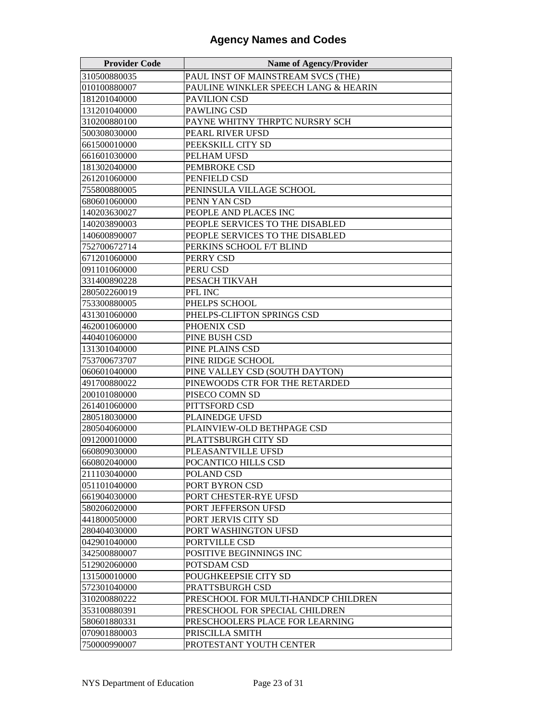| <b>Provider Code</b> | <b>Name of Agency/Provider</b>       |
|----------------------|--------------------------------------|
| 310500880035         | PAUL INST OF MAINSTREAM SVCS (THE)   |
| 010100880007         | PAULINE WINKLER SPEECH LANG & HEARIN |
| 181201040000         | PAVILION CSD                         |
| 131201040000         | PAWLING CSD                          |
| 310200880100         | PAYNE WHITNY THRPTC NURSRY SCH       |
| 500308030000         | PEARL RIVER UFSD                     |
| 661500010000         | PEEKSKILL CITY SD                    |
| 661601030000         | PELHAM UFSD                          |
| 181302040000         | PEMBROKE CSD                         |
| 261201060000         | PENFIELD CSD                         |
| 755800880005         | PENINSULA VILLAGE SCHOOL             |
| 680601060000         | PENN YAN CSD                         |
| 140203630027         | PEOPLE AND PLACES INC                |
| 140203890003         | PEOPLE SERVICES TO THE DISABLED      |
| 140600890007         | PEOPLE SERVICES TO THE DISABLED      |
| 752700672714         | PERKINS SCHOOL F/T BLIND             |
| 671201060000         | PERRY CSD                            |
| 091101060000         | PERU CSD                             |
| 331400890228         | PESACH TIKVAH                        |
| 280502260019         | PFL INC                              |
| 753300880005         | PHELPS SCHOOL                        |
| 431301060000         | PHELPS-CLIFTON SPRINGS CSD           |
| 462001060000         | PHOENIX CSD                          |
| 440401060000         | PINE BUSH CSD                        |
| 131301040000         | PINE PLAINS CSD                      |
| 753700673707         | PINE RIDGE SCHOOL                    |
| 060601040000         | PINE VALLEY CSD (SOUTH DAYTON)       |
| 491700880022         | PINEWOODS CTR FOR THE RETARDED       |
| 200101080000         | PISECO COMN SD                       |
| 261401060000         | PITTSFORD CSD                        |
| 280518030000         | PLAINEDGE UFSD                       |
| 280504060000         | PLAINVIEW-OLD BETHPAGE CSD           |
| 091200010000         | PLATTSBURGH CITY SD                  |
| 660809030000         | PLEASANTVILLE UFSD                   |
| 660802040000         | POCANTICO HILLS CSD                  |
| 211103040000         | POLAND CSD                           |
| 051101040000         | PORT BYRON CSD                       |
| 661904030000         | PORT CHESTER-RYE UFSD                |
| 580206020000         | PORT JEFFERSON UFSD                  |
| 441800050000         | PORT JERVIS CITY SD                  |
| 280404030000         | PORT WASHINGTON UFSD                 |
| 042901040000         | PORTVILLE CSD                        |
| 342500880007         | POSITIVE BEGINNINGS INC              |
| 512902060000         | POTSDAM CSD                          |
| 131500010000         | POUGHKEEPSIE CITY SD                 |
| 572301040000         | PRATTSBURGH CSD                      |
| 310200880222         | PRESCHOOL FOR MULTI-HANDCP CHILDREN  |
| 353100880391         | PRESCHOOL FOR SPECIAL CHILDREN       |
| 580601880331         | PRESCHOOLERS PLACE FOR LEARNING      |
| 070901880003         | PRISCILLA SMITH                      |
| 750000990007         | PROTESTANT YOUTH CENTER              |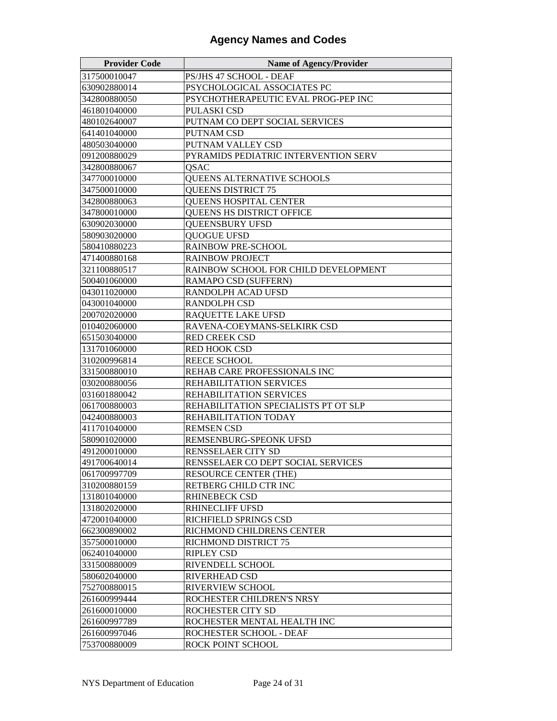| <b>Provider Code</b> | <b>Name of Agency/Provider</b>       |
|----------------------|--------------------------------------|
| 317500010047         | PS/JHS 47 SCHOOL - DEAF              |
| 630902880014         | PSYCHOLOGICAL ASSOCIATES PC          |
| 342800880050         | PSYCHOTHERAPEUTIC EVAL PROG-PEP INC  |
| 461801040000         | PULASKI CSD                          |
| 480102640007         | PUTNAM CO DEPT SOCIAL SERVICES       |
| 641401040000         | PUTNAM CSD                           |
| 480503040000         | PUTNAM VALLEY CSD                    |
| 091200880029         | PYRAMIDS PEDIATRIC INTERVENTION SERV |
| 342800880067         | QSAC                                 |
| 347700010000         | QUEENS ALTERNATIVE SCHOOLS           |
| 347500010000         | <b>QUEENS DISTRICT 75</b>            |
| 342800880063         | <b>QUEENS HOSPITAL CENTER</b>        |
| 347800010000         | QUEENS HS DISTRICT OFFICE            |
| 630902030000         | <b>QUEENSBURY UFSD</b>               |
| 580903020000         | <b>QUOGUE UFSD</b>                   |
| 580410880223         | RAINBOW PRE-SCHOOL                   |
| 471400880168         | <b>RAINBOW PROJECT</b>               |
| 321100880517         | RAINBOW SCHOOL FOR CHILD DEVELOPMENT |
| 500401060000         | RAMAPO CSD (SUFFERN)                 |
| 043011020000         | RANDOLPH ACAD UFSD                   |
| 043001040000         | <b>RANDOLPH CSD</b>                  |
| 200702020000         | RAQUETTE LAKE UFSD                   |
| 010402060000         | RAVENA-COEYMANS-SELKIRK CSD          |
| 651503040000         | RED CREEK CSD                        |
| 131701060000         | RED HOOK CSD                         |
| 310200996814         | REECE SCHOOL                         |
| 331500880010         | REHAB CARE PROFESSIONALS INC         |
| 030200880056         | REHABILITATION SERVICES              |
| 031601880042         | REHABILITATION SERVICES              |
| 061700880003         | REHABILITATION SPECIALISTS PT OT SLP |
| 042400880003         | REHABILITATION TODAY                 |
| 411701040000         | <b>REMSEN CSD</b>                    |
| 580901020000         | REMSENBURG-SPEONK UFSD               |
| 491200010000         | RENSSELAER CITY SD                   |
| 491700640014         | RENSSELAER CO DEPT SOCIAL SERVICES   |
| 061700997709         | <b>RESOURCE CENTER (THE)</b>         |
| 310200880159         | RETBERG CHILD CTR INC                |
| 131801040000         | RHINEBECK CSD                        |
| 131802020000         | <b>RHINECLIFF UFSD</b>               |
| 472001040000         | RICHFIELD SPRINGS CSD                |
| 662300890002         | RICHMOND CHILDRENS CENTER            |
| 357500010000         | RICHMOND DISTRICT 75                 |
| 062401040000         | <b>RIPLEY CSD</b>                    |
| 331500880009         | RIVENDELL SCHOOL                     |
| 580602040000         | RIVERHEAD CSD                        |
| 752700880015         | RIVERVIEW SCHOOL                     |
| 261600999444         | ROCHESTER CHILDREN'S NRSY            |
| 261600010000         | ROCHESTER CITY SD                    |
| 261600997789         | ROCHESTER MENTAL HEALTH INC          |
| 261600997046         | ROCHESTER SCHOOL - DEAF              |
| 753700880009         | ROCK POINT SCHOOL                    |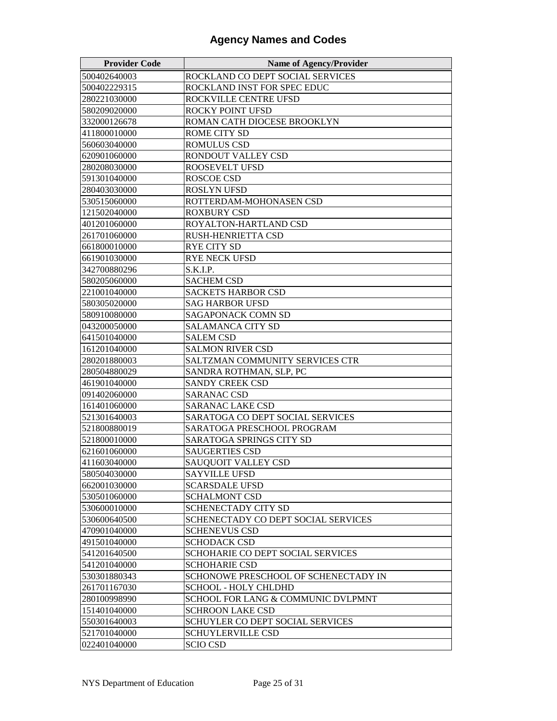| <b>Provider Code</b> | <b>Name of Agency/Provider</b>       |
|----------------------|--------------------------------------|
| 500402640003         | ROCKLAND CO DEPT SOCIAL SERVICES     |
| 500402229315         | ROCKLAND INST FOR SPEC EDUC          |
| 280221030000         | ROCKVILLE CENTRE UFSD                |
| 580209020000         | ROCKY POINT UFSD                     |
| 332000126678         | ROMAN CATH DIOCESE BROOKLYN          |
| 411800010000         | ROME CITY SD                         |
| 560603040000         | <b>ROMULUS CSD</b>                   |
| 620901060000         | RONDOUT VALLEY CSD                   |
| 280208030000         | <b>ROOSEVELT UFSD</b>                |
| 591301040000         | <b>ROSCOE CSD</b>                    |
| 280403030000         | <b>ROSLYN UFSD</b>                   |
| 530515060000         | ROTTERDAM-MOHONASEN CSD              |
| 121502040000         | <b>ROXBURY CSD</b>                   |
| 401201060000         | ROYALTON-HARTLAND CSD                |
| 261701060000         | RUSH-HENRIETTA CSD                   |
| 661800010000         | <b>RYE CITY SD</b>                   |
| 661901030000         | <b>RYE NECK UFSD</b>                 |
| 342700880296         | S.K.I.P.                             |
| 580205060000         | <b>SACHEM CSD</b>                    |
| 221001040000         | SACKETS HARBOR CSD                   |
| 580305020000         | <b>SAG HARBOR UFSD</b>               |
| 580910080000         | <b>SAGAPONACK COMN SD</b>            |
| 043200050000         | <b>SALAMANCA CITY SD</b>             |
| 641501040000         | <b>SALEM CSD</b>                     |
| 161201040000         | <b>SALMON RIVER CSD</b>              |
| 280201880003         | SALTZMAN COMMUNITY SERVICES CTR      |
| 280504880029         | SANDRA ROTHMAN, SLP, PC              |
| 461901040000         | <b>SANDY CREEK CSD</b>               |
| 091402060000         | <b>SARANAC CSD</b>                   |
| 161401060000         | <b>SARANAC LAKE CSD</b>              |
| 521301640003         | SARATOGA CO DEPT SOCIAL SERVICES     |
| 521800880019         | SARATOGA PRESCHOOL PROGRAM           |
| 521800010000         | SARATOGA SPRINGS CITY SD             |
| 621601060000         | <b>SAUGERTIES CSD</b>                |
| 411603040000         | <b>SAUQUOIT VALLEY CSD</b>           |
| 580504030000         | <b>SAYVILLE UFSD</b>                 |
| 662001030000         | <b>SCARSDALE UFSD</b>                |
| 530501060000         | <b>SCHALMONT CSD</b>                 |
| 530600010000         | SCHENECTADY CITY SD                  |
| 530600640500         | SCHENECTADY CO DEPT SOCIAL SERVICES  |
| 470901040000         | <b>SCHENEVUS CSD</b>                 |
| 491501040000         | <b>SCHODACK CSD</b>                  |
| 541201640500         | SCHOHARIE CO DEPT SOCIAL SERVICES    |
| 541201040000         | <b>SCHOHARIE CSD</b>                 |
| 530301880343         | SCHONOWE PRESCHOOL OF SCHENECTADY IN |
| 261701167030         | SCHOOL - HOLY CHLDHD                 |
| 280100998990         | SCHOOL FOR LANG & COMMUNIC DVLPMNT   |
| 151401040000         | <b>SCHROON LAKE CSD</b>              |
| 550301640003         | SCHUYLER CO DEPT SOCIAL SERVICES     |
| 521701040000         | <b>SCHUYLERVILLE CSD</b>             |
| 022401040000         | <b>SCIO CSD</b>                      |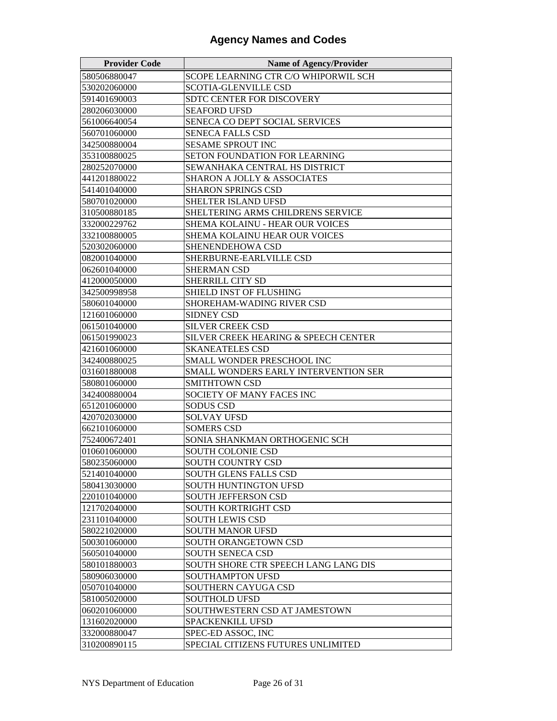| <b>Provider Code</b> | <b>Name of Agency/Provider</b>                           |
|----------------------|----------------------------------------------------------|
| 580506880047         | SCOPE LEARNING CTR C/O WHIPORWIL SCH                     |
| 530202060000         | <b>SCOTIA-GLENVILLE CSD</b>                              |
| 591401690003         | SDTC CENTER FOR DISCOVERY                                |
| 280206030000         | <b>SEAFORD UFSD</b>                                      |
| 561006640054         | SENECA CO DEPT SOCIAL SERVICES                           |
| 560701060000         | SENECA FALLS CSD                                         |
| 342500880004         | <b>SESAME SPROUT INC</b>                                 |
| 353100880025         | SETON FOUNDATION FOR LEARNING                            |
| 280252070000         | SEWANHAKA CENTRAL HS DISTRICT                            |
| 441201880022         | <b>SHARON A JOLLY &amp; ASSOCIATES</b>                   |
| 541401040000         | <b>SHARON SPRINGS CSD</b>                                |
| 580701020000         | SHELTER ISLAND UFSD                                      |
| 310500880185         | SHELTERING ARMS CHILDRENS SERVICE                        |
| 332000229762         | SHEMA KOLAINU - HEAR OUR VOICES                          |
| 332100880005         | SHEMA KOLAINU HEAR OUR VOICES                            |
| 520302060000         | SHENENDEHOWA CSD                                         |
| 082001040000         | SHERBURNE-EARLVILLE CSD                                  |
| 062601040000         | <b>SHERMAN CSD</b>                                       |
| 412000050000         | SHERRILL CITY SD                                         |
| 342500998958         | <b>SHIELD INST OF FLUSHING</b>                           |
| 580601040000         | SHOREHAM-WADING RIVER CSD                                |
| 121601060000         | <b>SIDNEY CSD</b>                                        |
| 061501040000         | SILVER CREEK CSD                                         |
| 061501990023         | SILVER CREEK HEARING & SPEECH CENTER                     |
| 421601060000         | <b>SKANEATELES CSD</b>                                   |
| 342400880025         | SMALL WONDER PRESCHOOL INC                               |
| 031601880008         | SMALL WONDERS EARLY INTERVENTION SER                     |
| 580801060000         | <b>SMITHTOWN CSD</b>                                     |
| 342400880004         | SOCIETY OF MANY FACES INC                                |
| 651201060000         | <b>SODUS CSD</b>                                         |
| 420702030000         | <b>SOLVAY UFSD</b>                                       |
| 662101060000         | <b>SOMERS CSD</b>                                        |
| 752400672401         | SONIA SHANKMAN ORTHOGENIC SCH                            |
| 010601060000         | <b>SOUTH COLONIE CSD</b>                                 |
| 580235060000         | <b>SOUTH COUNTRY CSD</b>                                 |
| 521401040000         | <b>SOUTH GLENS FALLS CSD</b>                             |
| 580413030000         | SOUTH HUNTINGTON UFSD                                    |
| 220101040000         | SOUTH JEFFERSON CSD                                      |
| 121702040000         | SOUTH KORTRIGHT CSD                                      |
| 231101040000         | <b>SOUTH LEWIS CSD</b>                                   |
| 580221020000         | <b>SOUTH MANOR UFSD</b>                                  |
| 500301060000         | <b>SOUTH ORANGETOWN CSD</b>                              |
| 560501040000         | <b>SOUTH SENECA CSD</b>                                  |
| 580101880003         | SOUTH SHORE CTR SPEECH LANG LANG DIS                     |
| 580906030000         | <b>SOUTHAMPTON UFSD</b>                                  |
| 050701040000         | SOUTHERN CAYUGA CSD                                      |
| 581005020000         | <b>SOUTHOLD UFSD</b>                                     |
| 060201060000         | SOUTHWESTERN CSD AT JAMESTOWN                            |
| 131602020000         | SPACKENKILL UFSD                                         |
| 332000880047         | SPEC-ED ASSOC, INC<br>SPECIAL CITIZENS FUTURES UNLIMITED |
| 310200890115         |                                                          |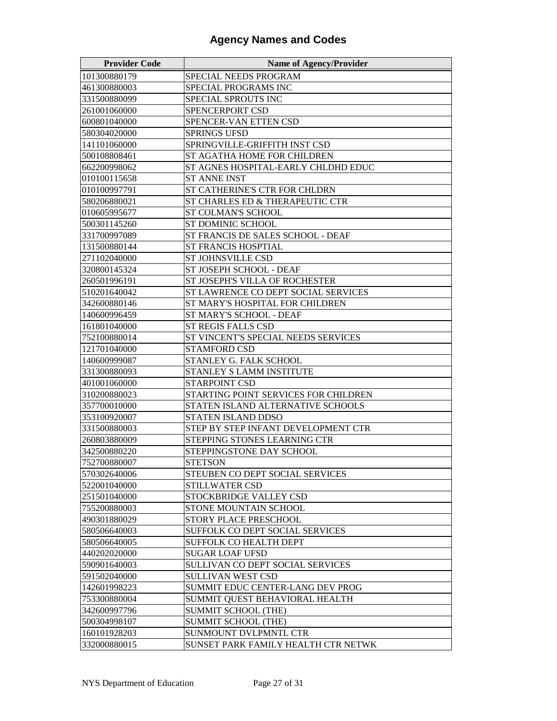| <b>Provider Code</b> | <b>Name of Agency/Provider</b>       |
|----------------------|--------------------------------------|
| 101300880179         | SPECIAL NEEDS PROGRAM                |
| 461300880003         | SPECIAL PROGRAMS INC                 |
| 331500880099         | SPECIAL SPROUTS INC                  |
| 261001060000         | SPENCERPORT CSD                      |
| 600801040000         | SPENCER-VAN ETTEN CSD                |
| 580304020000         | <b>SPRINGS UFSD</b>                  |
| 141101060000         | SPRINGVILLE-GRIFFITH INST CSD        |
| 500108808461         | ST AGATHA HOME FOR CHILDREN          |
| 662200998062         | ST AGNES HOSPITAL-EARLY CHLDHD EDUC  |
| 010100115658         | ST ANNE INST                         |
| 010100997791         | ST CATHERINE'S CTR FOR CHLDRN        |
| 580206880021         | ST CHARLES ED & THERAPEUTIC CTR      |
| 010605995677         | <b>ST COLMAN'S SCHOOL</b>            |
| 500301145260         | ST DOMINIC SCHOOL                    |
| 331700997089         | ST FRANCIS DE SALES SCHOOL - DEAF    |
| 131500880144         | ST FRANCIS HOSPTIAL                  |
| 271102040000         | <b>ST JOHNSVILLE CSD</b>             |
| 320800145324         | ST JOSEPH SCHOOL - DEAF              |
| 260501996191         | ST JOSEPH'S VILLA OF ROCHESTER       |
| 510201640042         | ST LAWRENCE CO DEPT SOCIAL SERVICES  |
| 342600880146         | ST MARY'S HOSPITAL FOR CHILDREN      |
| 140600996459         | ST MARY'S SCHOOL - DEAF              |
| 161801040000         | ST REGIS FALLS CSD                   |
| 752100880014         | ST VINCENT'S SPECIAL NEEDS SERVICES  |
| 121701040000         | <b>STAMFORD CSD</b>                  |
| 140600999087         | STANLEY G. FALK SCHOOL               |
| 331300880093         | STANLEY S LAMM INSTITUTE             |
| 401001060000         | <b>STARPOINT CSD</b>                 |
| 310200880023         | STARTING POINT SERVICES FOR CHILDREN |
| 357700010000         | STATEN ISLAND ALTERNATIVE SCHOOLS    |
| 353100920007         | STATEN ISLAND DDSO                   |
| 331500880003         | STEP BY STEP INFANT DEVELOPMENT CTR  |
| 260803880009         | STEPPING STONES LEARNING CTR         |
| 342500880220         | STEPPINGSTONE DAY SCHOOL             |
| 752700880007         | <b>STETSON</b>                       |
| 570302640006         | STEUBEN CO DEPT SOCIAL SERVICES      |
| 522001040000         | STILLWATER CSD                       |
| 251501040000         | STOCKBRIDGE VALLEY CSD               |
| 755200880003         | STONE MOUNTAIN SCHOOL                |
| 490301880029         | STORY PLACE PRESCHOOL                |
| 580506640003         | SUFFOLK CO DEPT SOCIAL SERVICES      |
| 580506640005         | <b>SUFFOLK CO HEALTH DEPT</b>        |
| 440202020000         | <b>SUGAR LOAF UFSD</b>               |
| 590901640003         | SULLIVAN CO DEPT SOCIAL SERVICES     |
| 591502040000         | SULLIVAN WEST CSD                    |
| 142601998223         | SUMMIT EDUC CENTER-LANG DEV PROG     |
| 753300880004         | SUMMIT QUEST BEHAVIORAL HEALTH       |
| 342600997796         | <b>SUMMIT SCHOOL (THE)</b>           |
| 500304998107         | <b>SUMMIT SCHOOL (THE)</b>           |
| 160101928203         | SUNMOUNT DVLPMNTL CTR                |
| 332000880015         | SUNSET PARK FAMILY HEALTH CTR NETWK  |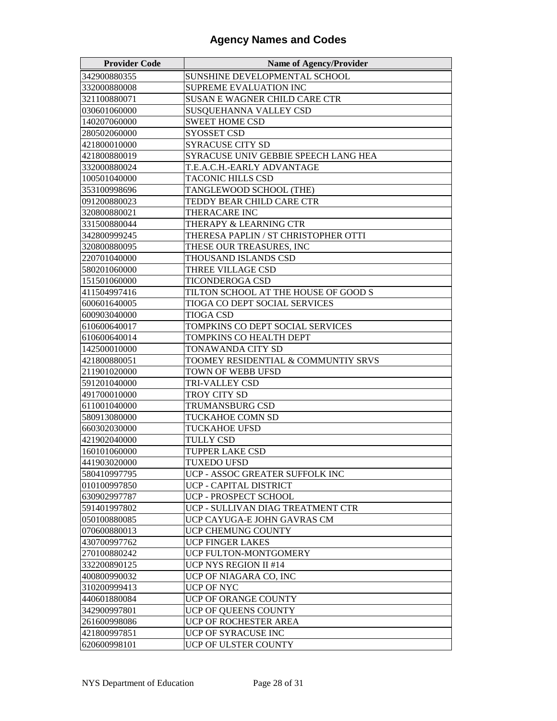| <b>Provider Code</b> | <b>Name of Agency/Provider</b>       |
|----------------------|--------------------------------------|
| 342900880355         | SUNSHINE DEVELOPMENTAL SCHOOL        |
| 332000880008         | SUPREME EVALUATION INC               |
| 321100880071         | SUSAN E WAGNER CHILD CARE CTR        |
| 030601060000         | SUSQUEHANNA VALLEY CSD               |
| 140207060000         | <b>SWEET HOME CSD</b>                |
| 280502060000         | SYOSSET CSD                          |
| 421800010000         | SYRACUSE CITY SD                     |
| 421800880019         | SYRACUSE UNIV GEBBIE SPEECH LANG HEA |
| 332000880024         | T.E.A.C.H.-EARLY ADVANTAGE           |
| 100501040000         | TACONIC HILLS CSD                    |
| 353100998696         | TANGLEWOOD SCHOOL (THE)              |
| 091200880023         | TEDDY BEAR CHILD CARE CTR            |
| 320800880021         | THERACARE INC                        |
| 331500880044         | THERAPY & LEARNING CTR               |
| 342800999245         | THERESA PAPLIN / ST CHRISTOPHER OTTI |
| 320800880095         | THESE OUR TREASURES, INC             |
| 220701040000         | THOUSAND ISLANDS CSD                 |
| 580201060000         | THREE VILLAGE CSD                    |
| 151501060000         | TICONDEROGA CSD                      |
| 411504997416         | TILTON SCHOOL AT THE HOUSE OF GOOD S |
| 600601640005         | TIOGA CO DEPT SOCIAL SERVICES        |
| 600903040000         | TIOGA CSD                            |
| 610600640017         | TOMPKINS CO DEPT SOCIAL SERVICES     |
| 610600640014         | TOMPKINS CO HEALTH DEPT              |
| 142500010000         | TONAWANDA CITY SD                    |
| 421800880051         | TOOMEY RESIDENTIAL & COMMUNTIY SRVS  |
| 211901020000         | TOWN OF WEBB UFSD                    |
| 591201040000         | TRI-VALLEY CSD                       |
| 491700010000         | TROY CITY SD                         |
| 611001040000         | TRUMANSBURG CSD                      |
| 580913080000         | TUCKAHOE COMN SD                     |
| 660302030000         | <b>TUCKAHOE UFSD</b>                 |
| 421902040000         | TULLY CSD                            |
| 160101060000         | TUPPER LAKE CSD                      |
| 441903020000         | <b>TUXEDO UFSD</b>                   |
| 580410997795         | UCP - ASSOC GREATER SUFFOLK INC      |
| 010100997850         | UCP - CAPITAL DISTRICT               |
| 630902997787         | UCP - PROSPECT SCHOOL                |
| 591401997802         | UCP - SULLIVAN DIAG TREATMENT CTR    |
| 050100880085         | UCP CAYUGA-E JOHN GAVRAS CM          |
| 070600880013         | UCP CHEMUNG COUNTY                   |
| 430700997762         | <b>UCP FINGER LAKES</b>              |
| 270100880242         | UCP FULTON-MONTGOMERY                |
| 332200890125         | <b>UCP NYS REGION II #14</b>         |
| 400800990032         | UCP OF NIAGARA CO, INC               |
| 310200999413         | UCP OF NYC                           |
| 440601880084         | UCP OF ORANGE COUNTY                 |
| 342900997801         | UCP OF QUEENS COUNTY                 |
| 261600998086         | UCP OF ROCHESTER AREA                |
| 421800997851         | UCP OF SYRACUSE INC                  |
| 620600998101         | UCP OF ULSTER COUNTY                 |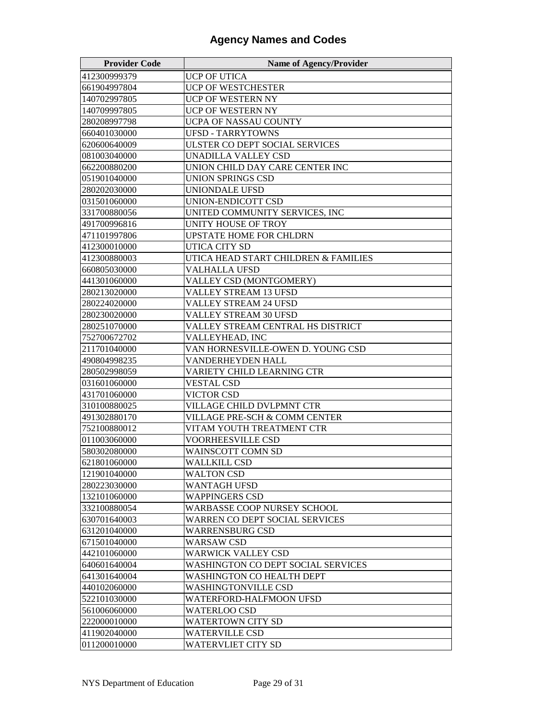| <b>Provider Code</b> | <b>Name of Agency/Provider</b>       |
|----------------------|--------------------------------------|
| 412300999379         | UCP OF UTICA                         |
| 661904997804         | <b>UCP OF WESTCHESTER</b>            |
| 140702997805         | UCP OF WESTERN NY                    |
| 140709997805         | UCP OF WESTERN NY                    |
| 280208997798         | UCPA OF NASSAU COUNTY                |
| 660401030000         | <b>UFSD - TARRYTOWNS</b>             |
| 620600640009         | ULSTER CO DEPT SOCIAL SERVICES       |
| 081003040000         | <b>UNADILLA VALLEY CSD</b>           |
| 662200880200         | UNION CHILD DAY CARE CENTER INC      |
| 051901040000         | UNION SPRINGS CSD                    |
| 280202030000         | UNIONDALE UFSD                       |
| 031501060000         | UNION-ENDICOTT CSD                   |
| 331700880056         | UNITED COMMUNITY SERVICES, INC       |
| 491700996816         | UNITY HOUSE OF TROY                  |
| 471101997806         | <b>UPSTATE HOME FOR CHLDRN</b>       |
| 412300010000         | UTICA CITY SD                        |
| 412300880003         | UTICA HEAD START CHILDREN & FAMILIES |
| 660805030000         | <b>VALHALLA UFSD</b>                 |
| 441301060000         | VALLEY CSD (MONTGOMERY)              |
| 280213020000         | <b>VALLEY STREAM 13 UFSD</b>         |
| 280224020000         | <b>VALLEY STREAM 24 UFSD</b>         |
| 280230020000         | VALLEY STREAM 30 UFSD                |
| 280251070000         | VALLEY STREAM CENTRAL HS DISTRICT    |
| 752700672702         | VALLEYHEAD, INC                      |
| 211701040000         | VAN HORNESVILLE-OWEN D. YOUNG CSD    |
| 490804998235         | VANDERHEYDEN HALL                    |
| 280502998059         | VARIETY CHILD LEARNING CTR           |
| 031601060000         | <b>VESTAL CSD</b>                    |
| 431701060000         | VICTOR CSD                           |
| 310100880025         | VILLAGE CHILD DVLPMNT CTR            |
| 491302880170         | VILLAGE PRE-SCH & COMM CENTER        |
| 752100880012         | VITAM YOUTH TREATMENT CTR            |
| 011003060000         | VOORHEESVILLE CSD                    |
| 580302080000         | WAINSCOTT COMN SD                    |
| 621801060000         | <b>WALLKILL CSD</b>                  |
| 121901040000         | <b>WALTON CSD</b>                    |
| 280223030000         | WANTAGH UFSD                         |
| 132101060000         | <b>WAPPINGERS CSD</b>                |
| 332100880054         | WARBASSE COOP NURSEY SCHOOL          |
| 630701640003         | WARREN CO DEPT SOCIAL SERVICES       |
| 631201040000         | <b>WARRENSBURG CSD</b>               |
| 671501040000         | WARSAW CSD                           |
| 442101060000         | WARWICK VALLEY CSD                   |
| 640601640004         | WASHINGTON CO DEPT SOCIAL SERVICES   |
| 641301640004         | WASHINGTON CO HEALTH DEPT            |
| 440102060000         | WASHINGTONVILLE CSD                  |
| 522101030000         | WATERFORD-HALFMOON UFSD              |
| 561006060000         | WATERLOO CSD                         |
| 222000010000         | WATERTOWN CITY SD                    |
| 411902040000         | <b>WATERVILLE CSD</b>                |
| 011200010000         | <b>WATERVLIET CITY SD</b>            |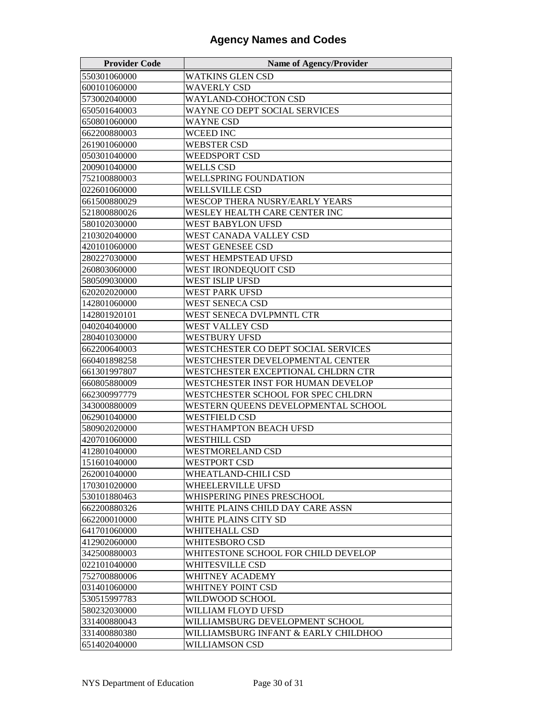| <b>Provider Code</b> | <b>Name of Agency/Provider</b>        |
|----------------------|---------------------------------------|
| 550301060000         | WATKINS GLEN CSD                      |
| 600101060000         | <b>WAVERLY CSD</b>                    |
| 573002040000         | WAYLAND-COHOCTON CSD                  |
| 650501640003         | WAYNE CO DEPT SOCIAL SERVICES         |
| 650801060000         | WAYNE CSD                             |
| 662200880003         | <b>WCEED INC</b>                      |
| 261901060000         | <b>WEBSTER CSD</b>                    |
| 050301040000         | <b>WEEDSPORT CSD</b>                  |
| 200901040000         | <b>WELLS CSD</b>                      |
| 752100880003         | <b>WELLSPRING FOUNDATION</b>          |
| 022601060000         | WELLSVILLE CSD                        |
| 661500880029         | <b>WESCOP THERA NUSRY/EARLY YEARS</b> |
| 521800880026         | WESLEY HEALTH CARE CENTER INC         |
| 580102030000         | <b>WEST BABYLON UFSD</b>              |
| 210302040000         | WEST CANADA VALLEY CSD                |
| 420101060000         | WEST GENESEE CSD                      |
| 280227030000         | WEST HEMPSTEAD UFSD                   |
| 260803060000         | WEST IRONDEQUOIT CSD                  |
| 580509030000         | WEST ISLIP UFSD                       |
| 620202020000         | WEST PARK UFSD                        |
| 142801060000         | WEST SENECA CSD                       |
| 142801920101         | WEST SENECA DVLPMNTL CTR              |
| 040204040000         | WEST VALLEY CSD                       |
| 280401030000         | WESTBURY UFSD                         |
| 662200640003         | WESTCHESTER CO DEPT SOCIAL SERVICES   |
| 660401898258         | WESTCHESTER DEVELOPMENTAL CENTER      |
| 661301997807         | WESTCHESTER EXCEPTIONAL CHLDRN CTR    |
| 660805880009         | WESTCHESTER INST FOR HUMAN DEVELOP    |
| 662300997779         | WESTCHESTER SCHOOL FOR SPEC CHLDRN    |
| 343000880009         | WESTERN QUEENS DEVELOPMENTAL SCHOOL   |
| 062901040000         | WESTFIELD CSD                         |
| 580902020000         | <b>WESTHAMPTON BEACH UFSD</b>         |
| 420701060000         | WESTHILL CSD                          |
| 412801040000         | WESTMORELAND CSD                      |
| 151601040000         | WESTPORT CSD                          |
| 262001040000         | WHEATLAND-CHILI CSD                   |
| 170301020000         | WHEELERVILLE UFSD                     |
| 530101880463         | WHISPERING PINES PRESCHOOL            |
| 662200880326         | WHITE PLAINS CHILD DAY CARE ASSN      |
| 662200010000         | WHITE PLAINS CITY SD                  |
| 641701060000         | WHITEHALL CSD                         |
| 412902060000         | WHITESBORO CSD                        |
| 342500880003         | WHITESTONE SCHOOL FOR CHILD DEVELOP   |
| 022101040000         | WHITESVILLE CSD                       |
| 752700880006         | WHITNEY ACADEMY                       |
| 031401060000         | WHITNEY POINT CSD                     |
| 530515997783         | WILDWOOD SCHOOL                       |
| 580232030000         | WILLIAM FLOYD UFSD                    |
| 331400880043         | WILLIAMSBURG DEVELOPMENT SCHOOL       |
| 331400880380         | WILLIAMSBURG INFANT & EARLY CHILDHOO  |
| 651402040000         | WILLIAMSON CSD                        |